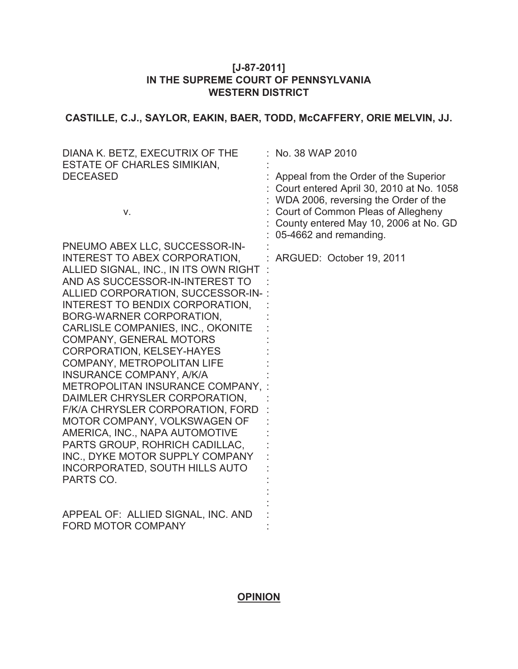# **[J-87-2011] IN THE SUPREME COURT OF PENNSYLVANIA WESTERN DISTRICT**

**CASTILLE, C.J., SAYLOR, EAKIN, BAER, TODD, McCAFFERY, ORIE MELVIN, JJ.**

| DIANA K. BETZ, EXECUTRIX OF THE<br><b>ESTATE OF CHARLES SIMIKIAN,</b> | No. 38 WAP 2010                          |
|-----------------------------------------------------------------------|------------------------------------------|
| <b>DECEASED</b>                                                       | Appeal from the Order of the Superior    |
|                                                                       | Court entered April 30, 2010 at No. 1058 |
|                                                                       | WDA 2006, reversing the Order of the     |
| V.                                                                    | Court of Common Pleas of Allegheny       |
|                                                                       | County entered May 10, 2006 at No. GD    |
|                                                                       | 05-4662 and remanding.                   |
| PNEUMO ABEX LLC, SUCCESSOR-IN-                                        |                                          |
| INTEREST TO ABEX CORPORATION,                                         | ARGUED: October 19, 2011                 |
| ALLIED SIGNAL, INC., IN ITS OWN RIGHT                                 |                                          |
| AND AS SUCCESSOR-IN-INTEREST TO                                       |                                          |
| ALLIED CORPORATION, SUCCESSOR-IN-                                     |                                          |
| INTEREST TO BENDIX CORPORATION,                                       |                                          |
| BORG-WARNER CORPORATION,                                              |                                          |
| <b>CARLISLE COMPANIES, INC., OKONITE</b>                              |                                          |
| <b>COMPANY, GENERAL MOTORS</b>                                        |                                          |
| <b>CORPORATION, KELSEY-HAYES</b>                                      |                                          |
| <b>COMPANY, METROPOLITAN LIFE</b>                                     |                                          |
| INSURANCE COMPANY, A/K/A                                              |                                          |
| METROPOLITAN INSURANCE COMPANY,                                       |                                          |
| DAIMLER CHRYSLER CORPORATION,                                         |                                          |
| F/K/A CHRYSLER CORPORATION, FORD<br>MOTOR COMPANY, VOLKSWAGEN OF      |                                          |
| AMERICA, INC., NAPA AUTOMOTIVE                                        |                                          |
| PARTS GROUP, ROHRICH CADILLAC,                                        |                                          |
| INC., DYKE MOTOR SUPPLY COMPANY                                       |                                          |
| <b>INCORPORATED, SOUTH HILLS AUTO</b>                                 |                                          |
| PARTS CO.                                                             |                                          |
|                                                                       |                                          |
|                                                                       |                                          |
| APPEAL OF: ALLIED SIGNAL, INC. AND                                    |                                          |
| <b>FORD MOTOR COMPANY</b>                                             |                                          |

# **OPINION**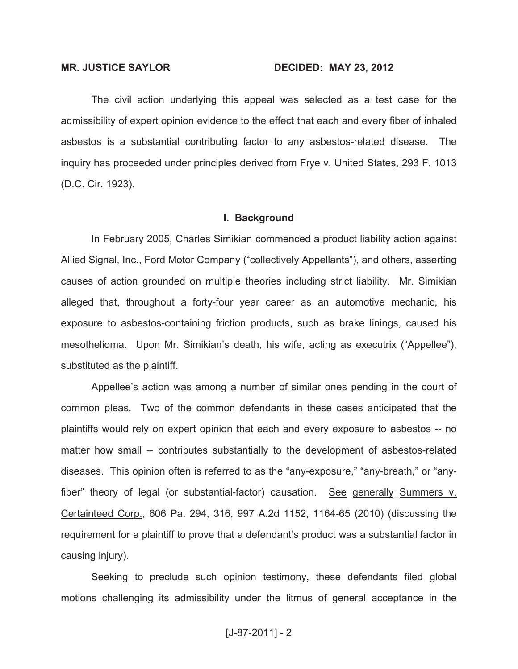#### **MR. JUSTICE SAYLOR DECIDED: MAY 23, 2012**

The civil action underlying this appeal was selected as a test case for the admissibility of expert opinion evidence to the effect that each and every fiber of inhaled asbestos is a substantial contributing factor to any asbestos-related disease. The inquiry has proceeded under principles derived from Frye v. United States, 293 F. 1013 (D.C. Cir. 1923).

#### **I. Background**

In February 2005, Charles Simikian commenced a product liability action against Allied Signal, Inc., Ford Motor Company ("collectively Appellants"), and others, asserting causes of action grounded on multiple theories including strict liability. Mr. Simikian alleged that, throughout a forty-four year career as an automotive mechanic, his exposure to asbestos-containing friction products, such as brake linings, caused his mesothelioma. Upon Mr. Simikian's death, his wife, acting as executrix ("Appellee"), substituted as the plaintiff.

Appellee's action was among a number of similar ones pending in the court of common pleas. Two of the common defendants in these cases anticipated that the plaintiffs would rely on expert opinion that each and every exposure to asbestos -- no matter how small -- contributes substantially to the development of asbestos-related diseases. This opinion often is referred to as the "any-exposure," "any-breath," or "anyfiber" theory of legal (or substantial-factor) causation. See generally Summers v. Certainteed Corp., 606 Pa. 294, 316, 997 A.2d 1152, 1164-65 (2010) (discussing the requirement for a plaintiff to prove that a defendant's product was a substantial factor in causing injury).

Seeking to preclude such opinion testimony, these defendants filed global motions challenging its admissibility under the litmus of general acceptance in the

## [J-87-2011] - 2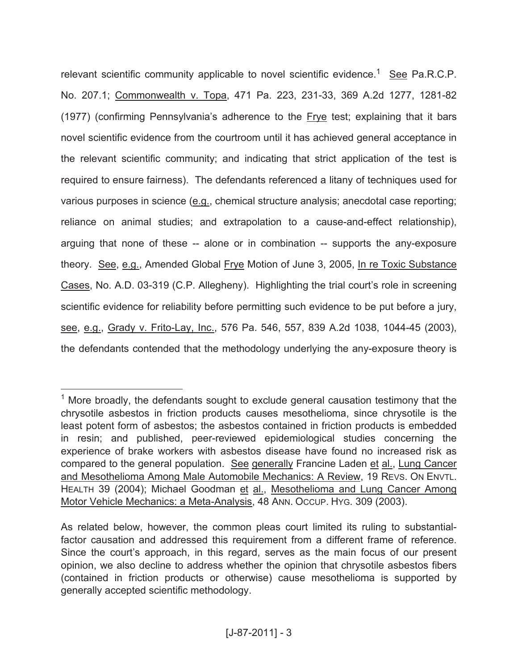relevant scientific community applicable to novel scientific evidence.<sup>1</sup> See Pa.R.C.P. No. 207.1; Commonwealth v. Topa, 471 Pa. 223, 231-33, 369 A.2d 1277, 1281-82 (1977) (confirming Pennsylvania's adherence to the Frye test; explaining that it bars novel scientific evidence from the courtroom until it has achieved general acceptance in the relevant scientific community; and indicating that strict application of the test is required to ensure fairness). The defendants referenced a litany of techniques used for various purposes in science (e.g., chemical structure analysis; anecdotal case reporting; reliance on animal studies; and extrapolation to a cause-and-effect relationship), arguing that none of these -- alone or in combination -- supports the any-exposure theory. See, e.g., Amended Global Frye Motion of June 3, 2005, In re Toxic Substance Cases, No. A.D. 03-319 (C.P. Allegheny). Highlighting the trial court's role in screening scientific evidence for reliability before permitting such evidence to be put before a jury, see, e.g., Grady v. Frito-Lay, Inc., 576 Pa. 546, 557, 839 A.2d 1038, 1044-45 (2003), the defendants contended that the methodology underlying the any-exposure theory is

 $1$  More broadly, the defendants sought to exclude general causation testimony that the chrysotile asbestos in friction products causes mesothelioma, since chrysotile is the least potent form of asbestos; the asbestos contained in friction products is embedded in resin; and published, peer-reviewed epidemiological studies concerning the experience of brake workers with asbestos disease have found no increased risk as compared to the general population. See generally Francine Laden et al., Lung Cancer and Mesothelioma Among Male Automobile Mechanics: A Review, 19 REVS. ON ENVTL. HEALTH 39 (2004); Michael Goodman et al., Mesothelioma and Lung Cancer Among Motor Vehicle Mechanics: a Meta-Analysis, 48 ANN. OCCUP. HYG. 309 (2003).

As related below, however, the common pleas court limited its ruling to substantialfactor causation and addressed this requirement from a different frame of reference. Since the court's approach, in this regard, serves as the main focus of our present opinion, we also decline to address whether the opinion that chrysotile asbestos fibers (contained in friction products or otherwise) cause mesothelioma is supported by generally accepted scientific methodology.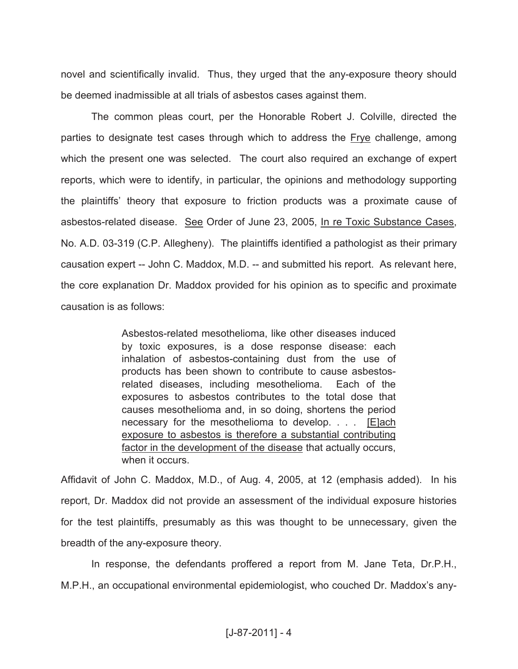novel and scientifically invalid. Thus, they urged that the any-exposure theory should be deemed inadmissible at all trials of asbestos cases against them.

The common pleas court, per the Honorable Robert J. Colville, directed the parties to designate test cases through which to address the Frye challenge, among which the present one was selected. The court also required an exchange of expert reports, which were to identify, in particular, the opinions and methodology supporting the plaintiffs' theory that exposure to friction products was a proximate cause of asbestos-related disease. See Order of June 23, 2005, In re Toxic Substance Cases, No. A.D. 03-319 (C.P. Allegheny). The plaintiffs identified a pathologist as their primary causation expert -- John C. Maddox, M.D. -- and submitted his report. As relevant here, the core explanation Dr. Maddox provided for his opinion as to specific and proximate causation is as follows:

> Asbestos-related mesothelioma, like other diseases induced by toxic exposures, is a dose response disease: each inhalation of asbestos-containing dust from the use of products has been shown to contribute to cause asbestosrelated diseases, including mesothelioma. Each of the exposures to asbestos contributes to the total dose that causes mesothelioma and, in so doing, shortens the period necessary for the mesothelioma to develop. . . . [E]ach exposure to asbestos is therefore a substantial contributing factor in the development of the disease that actually occurs, when it occurs.

Affidavit of John C. Maddox, M.D., of Aug. 4, 2005, at 12 (emphasis added). In his report, Dr. Maddox did not provide an assessment of the individual exposure histories for the test plaintiffs, presumably as this was thought to be unnecessary, given the breadth of the any-exposure theory.

In response, the defendants proffered a report from M. Jane Teta, Dr.P.H., M.P.H., an occupational environmental epidemiologist, who couched Dr. Maddox's any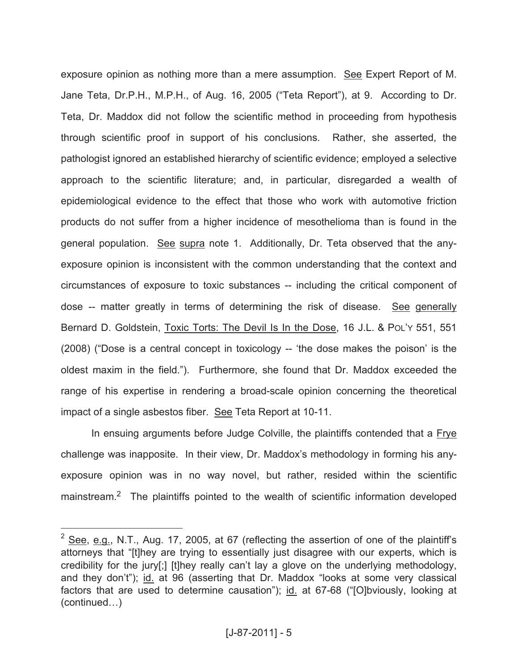exposure opinion as nothing more than a mere assumption. See Expert Report of M. Jane Teta, Dr.P.H., M.P.H., of Aug. 16, 2005 ("Teta Report"), at 9. According to Dr. Teta, Dr. Maddox did not follow the scientific method in proceeding from hypothesis through scientific proof in support of his conclusions. Rather, she asserted, the pathologist ignored an established hierarchy of scientific evidence; employed a selective approach to the scientific literature; and, in particular, disregarded a wealth of epidemiological evidence to the effect that those who work with automotive friction products do not suffer from a higher incidence of mesothelioma than is found in the general population. See supra note 1. Additionally, Dr. Teta observed that the anyexposure opinion is inconsistent with the common understanding that the context and circumstances of exposure to toxic substances -- including the critical component of dose -- matter greatly in terms of determining the risk of disease. See generally Bernard D. Goldstein, Toxic Torts: The Devil Is In the Dose, 16 J.L. & POL'Y 551, 551 (2008) ("Dose is a central concept in toxicology -- 'the dose makes the poison' is the oldest maxim in the field."). Furthermore, she found that Dr. Maddox exceeded the range of his expertise in rendering a broad-scale opinion concerning the theoretical impact of a single asbestos fiber. See Teta Report at 10-11.

In ensuing arguments before Judge Colville, the plaintiffs contended that a Frye challenge was inapposite. In their view, Dr. Maddox's methodology in forming his anyexposure opinion was in no way novel, but rather, resided within the scientific mainstream.<sup>2</sup> The plaintiffs pointed to the wealth of scientific information developed

 $2$  See, e.g., N.T., Aug. 17, 2005, at 67 (reflecting the assertion of one of the plaintiff's attorneys that "[t]hey are trying to essentially just disagree with our experts, which is credibility for the jury[;] [t]hey really can't lay a glove on the underlying methodology, and they don't"); id. at 96 (asserting that Dr. Maddox "looks at some very classical factors that are used to determine causation"); id. at 67-68 ("[O]bviously, looking at (continued…)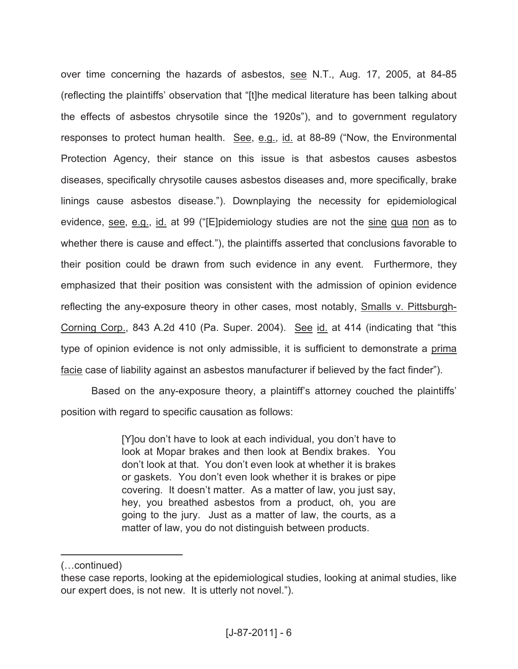over time concerning the hazards of asbestos, see N.T., Aug. 17, 2005, at 84-85 (reflecting the plaintiffs' observation that "[t]he medical literature has been talking about the effects of asbestos chrysotile since the 1920s"), and to government regulatory responses to protect human health. See, e.g., id. at 88-89 ("Now, the Environmental Protection Agency, their stance on this issue is that asbestos causes asbestos diseases, specifically chrysotile causes asbestos diseases and, more specifically, brake linings cause asbestos disease."). Downplaying the necessity for epidemiological evidence, see, e.g., id. at 99 ("[E]pidemiology studies are not the sine qua non as to whether there is cause and effect."), the plaintiffs asserted that conclusions favorable to their position could be drawn from such evidence in any event. Furthermore, they emphasized that their position was consistent with the admission of opinion evidence reflecting the any-exposure theory in other cases, most notably, Smalls v. Pittsburgh-Corning Corp., 843 A.2d 410 (Pa. Super. 2004). See id. at 414 (indicating that "this type of opinion evidence is not only admissible, it is sufficient to demonstrate a prima facie case of liability against an asbestos manufacturer if believed by the fact finder").

Based on the any-exposure theory, a plaintiff's attorney couched the plaintiffs' position with regard to specific causation as follows:

> [Y]ou don't have to look at each individual, you don't have to look at Mopar brakes and then look at Bendix brakes. You don't look at that. You don't even look at whether it is brakes or gaskets. You don't even look whether it is brakes or pipe covering. It doesn't matter. As a matter of law, you just say, hey, you breathed asbestos from a product, oh, you are going to the jury. Just as a matter of law, the courts, as a matter of law, you do not distinguish between products.

<sup>(…</sup>continued)

these case reports, looking at the epidemiological studies, looking at animal studies, like our expert does, is not new. It is utterly not novel.").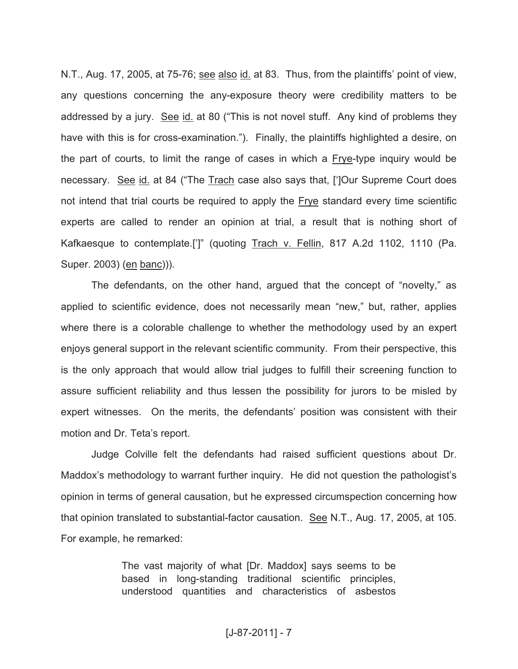N.T., Aug. 17, 2005, at 75-76; see also id. at 83. Thus, from the plaintiffs' point of view, any questions concerning the any-exposure theory were credibility matters to be addressed by a jury. See id. at 80 ("This is not novel stuff. Any kind of problems they have with this is for cross-examination."). Finally, the plaintiffs highlighted a desire, on the part of courts, to limit the range of cases in which a Frye-type inquiry would be necessary. See id. at 84 ("The Trach case also says that, [']Our Supreme Court does not intend that trial courts be required to apply the Frye standard every time scientific experts are called to render an opinion at trial, a result that is nothing short of Kafkaesque to contemplate.[']" (quoting Trach v. Fellin, 817 A.2d 1102, 1110 (Pa. Super. 2003) (en banc))).

The defendants, on the other hand, argued that the concept of "novelty," as applied to scientific evidence, does not necessarily mean "new," but, rather, applies where there is a colorable challenge to whether the methodology used by an expert enjoys general support in the relevant scientific community. From their perspective, this is the only approach that would allow trial judges to fulfill their screening function to assure sufficient reliability and thus lessen the possibility for jurors to be misled by expert witnesses. On the merits, the defendants' position was consistent with their motion and Dr. Teta's report.

Judge Colville felt the defendants had raised sufficient questions about Dr. Maddox's methodology to warrant further inquiry. He did not question the pathologist's opinion in terms of general causation, but he expressed circumspection concerning how that opinion translated to substantial-factor causation. See N.T., Aug. 17, 2005, at 105. For example, he remarked:

> The vast majority of what [Dr. Maddox] says seems to be based in long-standing traditional scientific principles, understood quantities and characteristics of asbestos

# [J-87-2011] - 7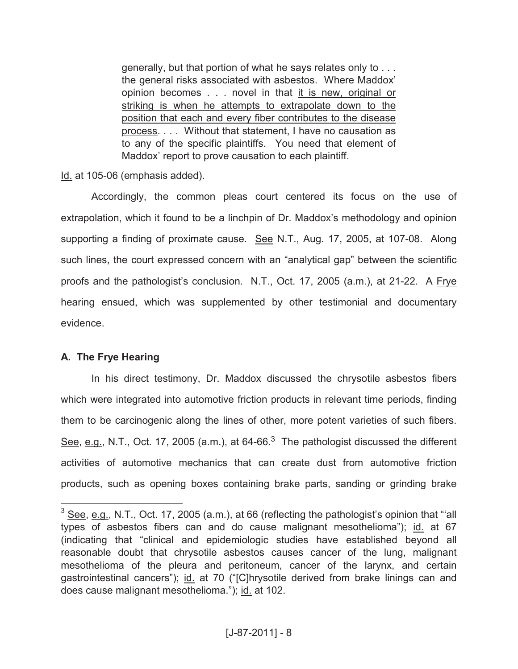generally, but that portion of what he says relates only to . . . the general risks associated with asbestos. Where Maddox' opinion becomes . . . novel in that it is new, original or striking is when he attempts to extrapolate down to the position that each and every fiber contributes to the disease process. . . . Without that statement, I have no causation as to any of the specific plaintiffs. You need that element of Maddox' report to prove causation to each plaintiff.

Id. at 105-06 (emphasis added).

Accordingly, the common pleas court centered its focus on the use of extrapolation, which it found to be a linchpin of Dr. Maddox's methodology and opinion supporting a finding of proximate cause. See N.T., Aug. 17, 2005, at 107-08. Along such lines, the court expressed concern with an "analytical gap" between the scientific proofs and the pathologist's conclusion. N.T., Oct. 17, 2005 (a.m.), at 21-22. A Frye hearing ensued, which was supplemented by other testimonial and documentary evidence.

## **A. The Frye Hearing**

 $\overline{a}$ 

In his direct testimony, Dr. Maddox discussed the chrysotile asbestos fibers which were integrated into automotive friction products in relevant time periods, finding them to be carcinogenic along the lines of other, more potent varieties of such fibers. See, e.g., N.T., Oct. 17, 2005 (a.m.), at 64-66.<sup>3</sup> The pathologist discussed the different activities of automotive mechanics that can create dust from automotive friction products, such as opening boxes containing brake parts, sanding or grinding brake

 $3$  See, e.g., N.T., Oct. 17, 2005 (a.m.), at 66 (reflecting the pathologist's opinion that "'all types of asbestos fibers can and do cause malignant mesothelioma"); id. at 67 (indicating that "clinical and epidemiologic studies have established beyond all reasonable doubt that chrysotile asbestos causes cancer of the lung, malignant mesothelioma of the pleura and peritoneum, cancer of the larynx, and certain gastrointestinal cancers"); id. at 70 ("[C]hrysotile derived from brake linings can and does cause malignant mesothelioma."); id. at 102.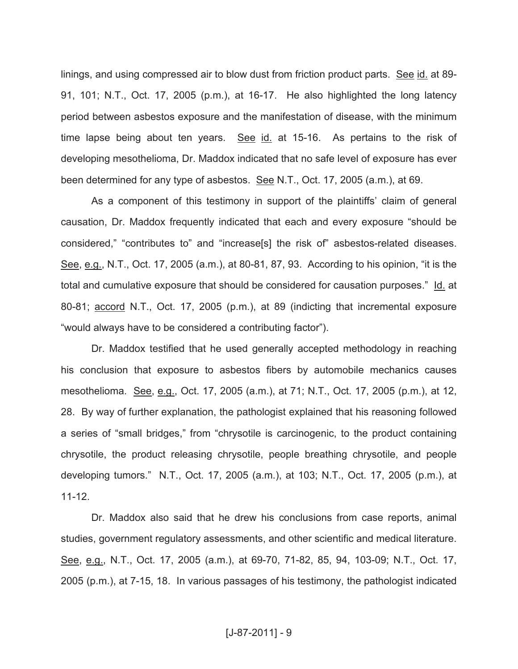linings, and using compressed air to blow dust from friction product parts. See id. at 89- 91, 101; N.T., Oct. 17, 2005 (p.m.), at 16-17. He also highlighted the long latency period between asbestos exposure and the manifestation of disease, with the minimum time lapse being about ten years. See id. at 15-16. As pertains to the risk of developing mesothelioma, Dr. Maddox indicated that no safe level of exposure has ever been determined for any type of asbestos. See N.T., Oct. 17, 2005 (a.m.), at 69.

As a component of this testimony in support of the plaintiffs' claim of general causation, Dr. Maddox frequently indicated that each and every exposure "should be considered," "contributes to" and "increase[s] the risk of" asbestos-related diseases. See, e.g., N.T., Oct. 17, 2005 (a.m.), at 80-81, 87, 93. According to his opinion, "it is the total and cumulative exposure that should be considered for causation purposes." Id. at 80-81; accord N.T., Oct. 17, 2005 (p.m.), at 89 (indicting that incremental exposure "would always have to be considered a contributing factor").

Dr. Maddox testified that he used generally accepted methodology in reaching his conclusion that exposure to asbestos fibers by automobile mechanics causes mesothelioma. See, e.g., Oct. 17, 2005 (a.m.), at 71; N.T., Oct. 17, 2005 (p.m.), at 12, 28. By way of further explanation, the pathologist explained that his reasoning followed a series of "small bridges," from "chrysotile is carcinogenic, to the product containing chrysotile, the product releasing chrysotile, people breathing chrysotile, and people developing tumors." N.T., Oct. 17, 2005 (a.m.), at 103; N.T., Oct. 17, 2005 (p.m.), at 11-12.

Dr. Maddox also said that he drew his conclusions from case reports, animal studies, government regulatory assessments, and other scientific and medical literature. See, e.g., N.T., Oct. 17, 2005 (a.m.), at 69-70, 71-82, 85, 94, 103-09; N.T., Oct. 17, 2005 (p.m.), at 7-15, 18. In various passages of his testimony, the pathologist indicated

## [J-87-2011] - 9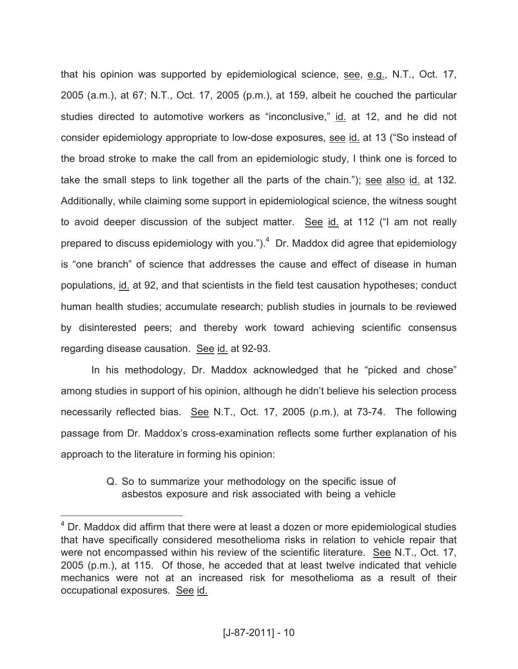that his opinion was supported by epidemiological science, see, e.g., N.T., Oct. 17, 2005 (a.m.), at 67; N.T., Oct. 17, 2005 (p.m.), at 159, albeit he couched the particular studies directed to automotive workers as "inconclusive," id. at 12, and he did not consider epidemiology appropriate to low-dose exposures, see id. at 13 ("So instead of the broad stroke to make the call from an epidemiologic study, I think one is forced to take the small steps to link together all the parts of the chain."); see also id. at 132. Additionally, while claiming some support in epidemiological science, the witness sought to avoid deeper discussion of the subject matter. See id. at 112 ("I am not really prepared to discuss epidemiology with you."). $4$  Dr. Maddox did agree that epidemiology is "one branch" of science that addresses the cause and effect of disease in human populations, id. at 92, and that scientists in the field test causation hypotheses; conduct human health studies; accumulate research; publish studies in journals to be reviewed by disinterested peers; and thereby work toward achieving scientific consensus regarding disease causation. See id. at 92-93.

In his methodology, Dr. Maddox acknowledged that he "picked and chose" among studies in support of his opinion, although he didn't believe his selection process necessarily reflected bias. See N.T., Oct. 17, 2005 (p.m.), at 73-74. The following passage from Dr. Maddox's cross-examination reflects some further explanation of his approach to the literature in forming his opinion:

# Q. So to summarize your methodology on the specific issue of asbestos exposure and risk associated with being a vehicle

 $4$  Dr. Maddox did affirm that there were at least a dozen or more epidemiological studies that have specifically considered mesothelioma risks in relation to vehicle repair that were not encompassed within his review of the scientific literature. See N.T., Oct. 17, 2005 (p.m.), at 115. Of those, he acceded that at least twelve indicated that vehicle mechanics were not at an increased risk for mesothelioma as a result of their occupational exposures. See id.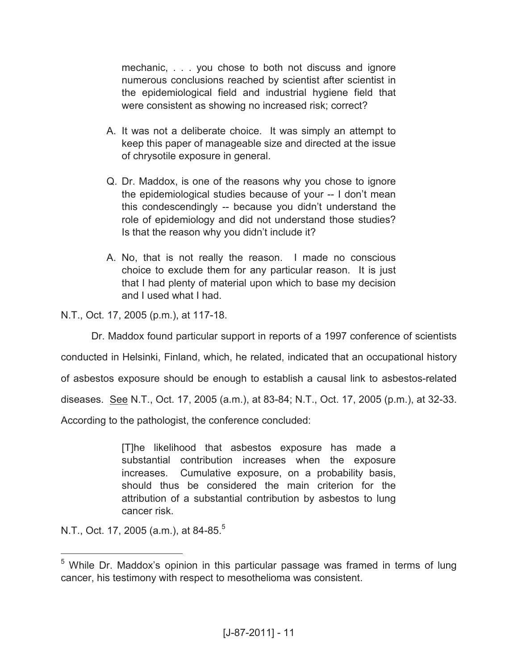mechanic, . . . you chose to both not discuss and ignore numerous conclusions reached by scientist after scientist in the epidemiological field and industrial hygiene field that were consistent as showing no increased risk; correct?

- A. It was not a deliberate choice. It was simply an attempt to keep this paper of manageable size and directed at the issue of chrysotile exposure in general.
- Q. Dr. Maddox, is one of the reasons why you chose to ignore the epidemiological studies because of your -- I don't mean this condescendingly -- because you didn't understand the role of epidemiology and did not understand those studies? Is that the reason why you didn't include it?
- A. No, that is not really the reason. I made no conscious choice to exclude them for any particular reason. It is just that I had plenty of material upon which to base my decision and I used what I had.

N.T., Oct. 17, 2005 (p.m.), at 117-18.

Dr. Maddox found particular support in reports of a 1997 conference of scientists conducted in Helsinki, Finland, which, he related, indicated that an occupational history of asbestos exposure should be enough to establish a causal link to asbestos-related diseases. See N.T., Oct. 17, 2005 (a.m.), at 83-84; N.T., Oct. 17, 2005 (p.m.), at 32-33. According to the pathologist, the conference concluded:

> [T]he likelihood that asbestos exposure has made a substantial contribution increases when the exposure increases. Cumulative exposure, on a probability basis, should thus be considered the main criterion for the attribution of a substantial contribution by asbestos to lung cancer risk.

N.T., Oct. 17, 2005 (a.m.), at 84-85.<sup>5</sup>

 $5$  While Dr. Maddox's opinion in this particular passage was framed in terms of lung cancer, his testimony with respect to mesothelioma was consistent.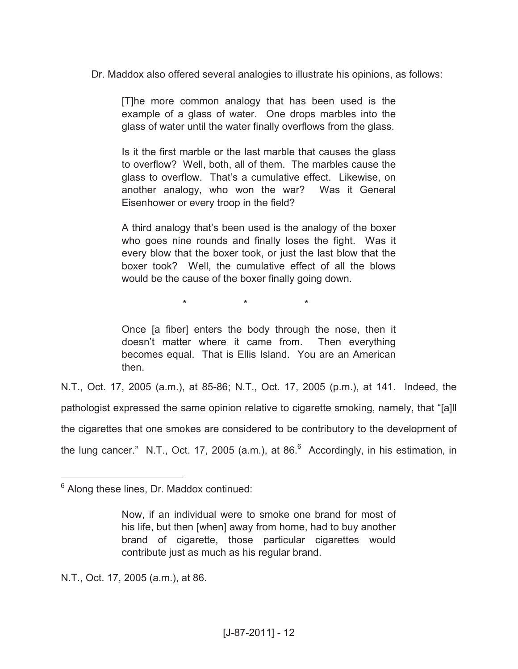Dr. Maddox also offered several analogies to illustrate his opinions, as follows:

[T]he more common analogy that has been used is the example of a glass of water. One drops marbles into the glass of water until the water finally overflows from the glass.

Is it the first marble or the last marble that causes the glass to overflow? Well, both, all of them. The marbles cause the glass to overflow. That's a cumulative effect. Likewise, on another analogy, who won the war? Was it General Eisenhower or every troop in the field?

A third analogy that's been used is the analogy of the boxer who goes nine rounds and finally loses the fight. Was it every blow that the boxer took, or just the last blow that the boxer took? Well, the cumulative effect of all the blows would be the cause of the boxer finally going down.

\* \* \*

Once [a fiber] enters the body through the nose, then it doesn't matter where it came from. Then everything becomes equal. That is Ellis Island. You are an American then.

N.T., Oct. 17, 2005 (a.m.), at 85-86; N.T., Oct. 17, 2005 (p.m.), at 141. Indeed, the pathologist expressed the same opinion relative to cigarette smoking, namely, that "[a]ll the cigarettes that one smokes are considered to be contributory to the development of the lung cancer." N.T., Oct. 17, 2005 (a.m.), at 86. $^6$  Accordingly, in his estimation, in

N.T., Oct. 17, 2005 (a.m.), at 86.

 $6$  Along these lines, Dr. Maddox continued:

Now, if an individual were to smoke one brand for most of his life, but then [when] away from home, had to buy another brand of cigarette, those particular cigarettes would contribute just as much as his regular brand.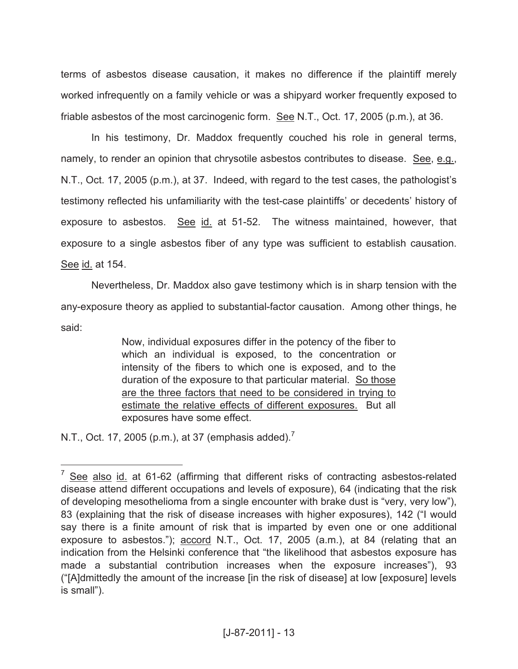terms of asbestos disease causation, it makes no difference if the plaintiff merely worked infrequently on a family vehicle or was a shipyard worker frequently exposed to friable asbestos of the most carcinogenic form. See N.T., Oct. 17, 2005 (p.m.), at 36.

In his testimony, Dr. Maddox frequently couched his role in general terms, namely, to render an opinion that chrysotile asbestos contributes to disease. See, e.g., N.T., Oct. 17, 2005 (p.m.), at 37. Indeed, with regard to the test cases, the pathologist's testimony reflected his unfamiliarity with the test-case plaintiffs' or decedents' history of exposure to asbestos. See id. at 51-52. The witness maintained, however, that exposure to a single asbestos fiber of any type was sufficient to establish causation. See id. at 154.

Nevertheless, Dr. Maddox also gave testimony which is in sharp tension with the any-exposure theory as applied to substantial-factor causation. Among other things, he said:

> Now, individual exposures differ in the potency of the fiber to which an individual is exposed, to the concentration or intensity of the fibers to which one is exposed, and to the duration of the exposure to that particular material. So those are the three factors that need to be considered in trying to estimate the relative effects of different exposures. But all exposures have some effect.

N.T., Oct. 17, 2005 (p.m.), at 37 (emphasis added).<sup>7</sup>

<sup>7</sup> See also id. at 61-62 (affirming that different risks of contracting asbestos-related disease attend different occupations and levels of exposure), 64 (indicating that the risk of developing mesothelioma from a single encounter with brake dust is "very, very low"), 83 (explaining that the risk of disease increases with higher exposures), 142 ("I would say there is a finite amount of risk that is imparted by even one or one additional exposure to asbestos."); accord N.T., Oct. 17, 2005 (a.m.), at 84 (relating that an indication from the Helsinki conference that "the likelihood that asbestos exposure has made a substantial contribution increases when the exposure increases"), 93 ("[A]dmittedly the amount of the increase [in the risk of disease] at low [exposure] levels is small").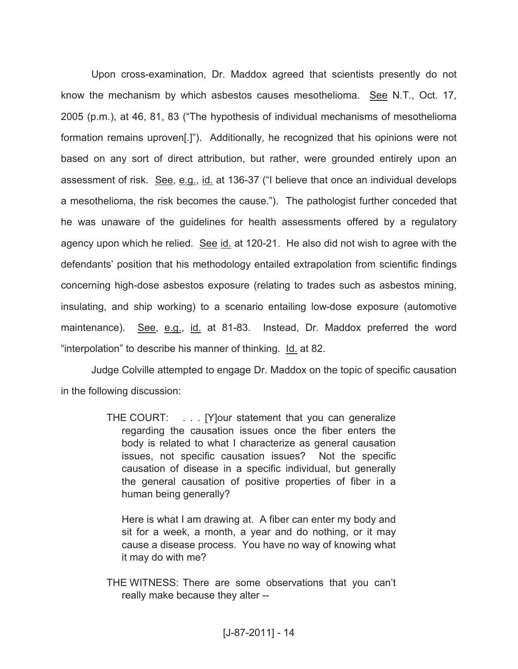Upon cross-examination, Dr. Maddox agreed that scientists presently do not know the mechanism by which asbestos causes mesothelioma. See N.T., Oct. 17, 2005 (p.m.), at 46, 81, 83 ("The hypothesis of individual mechanisms of mesothelioma formation remains uproven[.]"). Additionally, he recognized that his opinions were not based on any sort of direct attribution, but rather, were grounded entirely upon an assessment of risk. See, e.g., id. at 136-37 ("I believe that once an individual develops a mesothelioma, the risk becomes the cause."). The pathologist further conceded that he was unaware of the guidelines for health assessments offered by a regulatory agency upon which he relied. See id. at 120-21. He also did not wish to agree with the defendants' position that his methodology entailed extrapolation from scientific findings concerning high-dose asbestos exposure (relating to trades such as asbestos mining, insulating, and ship working) to a scenario entailing low-dose exposure (automotive maintenance). See, e.g., id. at 81-83. Instead, Dr. Maddox preferred the word "interpolation" to describe his manner of thinking. Id. at 82.

Judge Colville attempted to engage Dr. Maddox on the topic of specific causation in the following discussion:

> THE COURT: . . . [Y]our statement that you can generalize regarding the causation issues once the fiber enters the body is related to what I characterize as general causation issues, not specific causation issues? Not the specific causation of disease in a specific individual, but generally the general causation of positive properties of fiber in a human being generally?

Here is what I am drawing at. A fiber can enter my body and sit for a week, a month, a year and do nothing, or it may cause a disease process. You have no way of knowing what it may do with me?

THE WITNESS: There are some observations that you can't really make because they alter --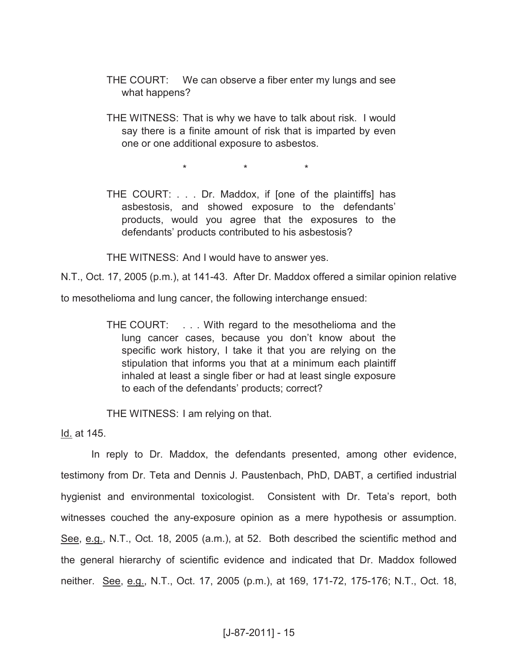- THE COURT: We can observe a fiber enter my lungs and see what happens?
- THE WITNESS: That is why we have to talk about risk. I would say there is a finite amount of risk that is imparted by even one or one additional exposure to asbestos.

\* \* \*

THE COURT: . . . Dr. Maddox, if [one of the plaintiffs] has asbestosis, and showed exposure to the defendants' products, would you agree that the exposures to the defendants' products contributed to his asbestosis?

THE WITNESS: And I would have to answer yes.

N.T., Oct. 17, 2005 (p.m.), at 141-43. After Dr. Maddox offered a similar opinion relative to mesothelioma and lung cancer, the following interchange ensued:

> THE COURT: . . . With regard to the mesothelioma and the lung cancer cases, because you don't know about the specific work history, I take it that you are relying on the stipulation that informs you that at a minimum each plaintiff inhaled at least a single fiber or had at least single exposure to each of the defendants' products; correct?

THE WITNESS: I am relying on that.

Id. at 145.

In reply to Dr. Maddox, the defendants presented, among other evidence, testimony from Dr. Teta and Dennis J. Paustenbach, PhD, DABT, a certified industrial hygienist and environmental toxicologist. Consistent with Dr. Teta's report, both witnesses couched the any-exposure opinion as a mere hypothesis or assumption. See, e.g., N.T., Oct. 18, 2005 (a.m.), at 52. Both described the scientific method and the general hierarchy of scientific evidence and indicated that Dr. Maddox followed neither. See, e.g., N.T., Oct. 17, 2005 (p.m.), at 169, 171-72, 175-176; N.T., Oct. 18,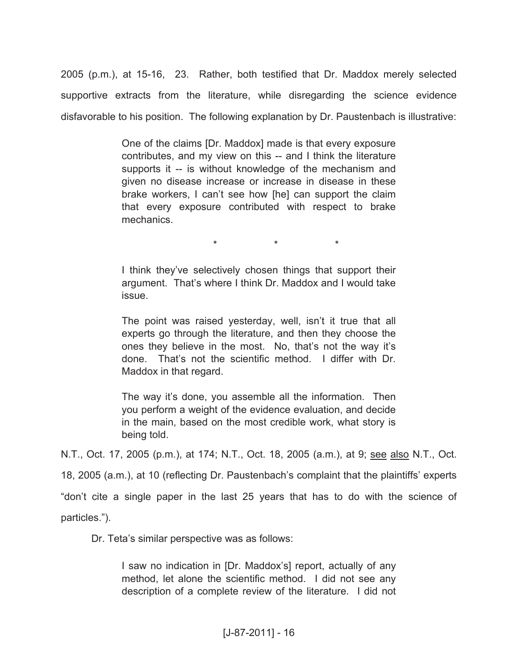2005 (p.m.), at 15-16, 23. Rather, both testified that Dr. Maddox merely selected supportive extracts from the literature, while disregarding the science evidence disfavorable to his position. The following explanation by Dr. Paustenbach is illustrative:

> One of the claims [Dr. Maddox] made is that every exposure contributes, and my view on this -- and I think the literature supports it -- is without knowledge of the mechanism and given no disease increase or increase in disease in these brake workers, I can't see how [he] can support the claim that every exposure contributed with respect to brake mechanics.

> > \* \* \*

I think they've selectively chosen things that support their argument. That's where I think Dr. Maddox and I would take issue.

The point was raised yesterday, well, isn't it true that all experts go through the literature, and then they choose the ones they believe in the most. No, that's not the way it's done. That's not the scientific method. I differ with Dr. Maddox in that regard.

The way it's done, you assemble all the information. Then you perform a weight of the evidence evaluation, and decide in the main, based on the most credible work, what story is being told.

N.T., Oct. 17, 2005 (p.m.), at 174; N.T., Oct. 18, 2005 (a.m.), at 9; see also N.T., Oct.

18, 2005 (a.m.), at 10 (reflecting Dr. Paustenbach's complaint that the plaintiffs' experts

"don't cite a single paper in the last 25 years that has to do with the science of

particles.").

Dr. Teta's similar perspective was as follows:

I saw no indication in [Dr. Maddox's] report, actually of any method, let alone the scientific method. I did not see any description of a complete review of the literature. I did not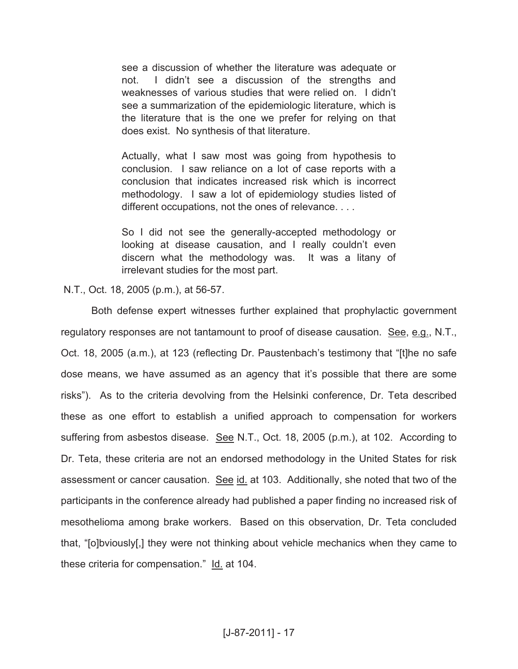see a discussion of whether the literature was adequate or not. I didn't see a discussion of the strengths and weaknesses of various studies that were relied on. I didn't see a summarization of the epidemiologic literature, which is the literature that is the one we prefer for relying on that does exist. No synthesis of that literature.

Actually, what I saw most was going from hypothesis to conclusion. I saw reliance on a lot of case reports with a conclusion that indicates increased risk which is incorrect methodology. I saw a lot of epidemiology studies listed of different occupations, not the ones of relevance. . . .

So I did not see the generally-accepted methodology or looking at disease causation, and I really couldn't even discern what the methodology was. It was a litany of irrelevant studies for the most part.

N.T., Oct. 18, 2005 (p.m.), at 56-57.

Both defense expert witnesses further explained that prophylactic government regulatory responses are not tantamount to proof of disease causation. See, e.g., N.T., Oct. 18, 2005 (a.m.), at 123 (reflecting Dr. Paustenbach's testimony that "[t]he no safe dose means, we have assumed as an agency that it's possible that there are some risks"). As to the criteria devolving from the Helsinki conference, Dr. Teta described these as one effort to establish a unified approach to compensation for workers suffering from asbestos disease. See N.T., Oct. 18, 2005 (p.m.), at 102. According to Dr. Teta, these criteria are not an endorsed methodology in the United States for risk assessment or cancer causation. See id. at 103. Additionally, she noted that two of the participants in the conference already had published a paper finding no increased risk of mesothelioma among brake workers. Based on this observation, Dr. Teta concluded that, "[o]bviously[,] they were not thinking about vehicle mechanics when they came to these criteria for compensation." Id. at 104.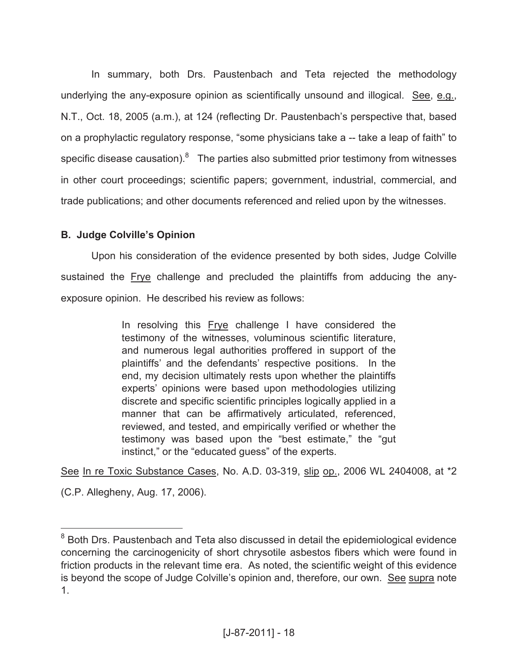In summary, both Drs. Paustenbach and Teta rejected the methodology underlying the any-exposure opinion as scientifically unsound and illogical. See, e.g., N.T., Oct. 18, 2005 (a.m.), at 124 (reflecting Dr. Paustenbach's perspective that, based on a prophylactic regulatory response, "some physicians take a -- take a leap of faith" to specific disease causation).<sup>8</sup> The parties also submitted prior testimony from witnesses in other court proceedings; scientific papers; government, industrial, commercial, and trade publications; and other documents referenced and relied upon by the witnesses.

# **B. Judge Colville's Opinion**

Upon his consideration of the evidence presented by both sides, Judge Colville sustained the **Frye** challenge and precluded the plaintiffs from adducing the anyexposure opinion. He described his review as follows:

> In resolving this Frye challenge I have considered the testimony of the witnesses, voluminous scientific literature, and numerous legal authorities proffered in support of the plaintiffs' and the defendants' respective positions. In the end, my decision ultimately rests upon whether the plaintiffs experts' opinions were based upon methodologies utilizing discrete and specific scientific principles logically applied in a manner that can be affirmatively articulated, referenced, reviewed, and tested, and empirically verified or whether the testimony was based upon the "best estimate," the "gut instinct," or the "educated guess" of the experts.

See In re Toxic Substance Cases, No. A.D. 03-319, slip op., 2006 WL 2404008, at \*2

(C.P. Allegheny, Aug. 17, 2006).

<sup>&</sup>lt;sup>8</sup> Both Drs. Paustenbach and Teta also discussed in detail the epidemiological evidence concerning the carcinogenicity of short chrysotile asbestos fibers which were found in friction products in the relevant time era. As noted, the scientific weight of this evidence is beyond the scope of Judge Colville's opinion and, therefore, our own. See supra note 1.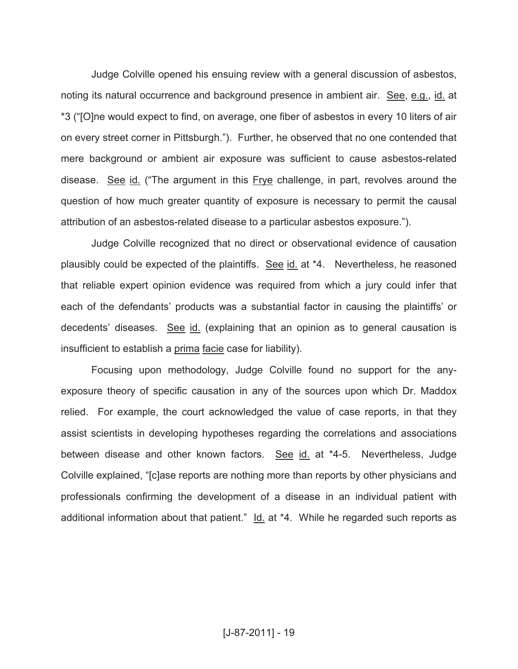Judge Colville opened his ensuing review with a general discussion of asbestos, noting its natural occurrence and background presence in ambient air. See, e.g., id. at \*3 ("[O]ne would expect to find, on average, one fiber of asbestos in every 10 liters of air on every street corner in Pittsburgh."). Further, he observed that no one contended that mere background or ambient air exposure was sufficient to cause asbestos-related disease. See id. ("The argument in this Frye challenge, in part, revolves around the question of how much greater quantity of exposure is necessary to permit the causal attribution of an asbestos-related disease to a particular asbestos exposure.").

Judge Colville recognized that no direct or observational evidence of causation plausibly could be expected of the plaintiffs. See id. at \*4. Nevertheless, he reasoned that reliable expert opinion evidence was required from which a jury could infer that each of the defendants' products was a substantial factor in causing the plaintiffs' or decedents' diseases. See id. (explaining that an opinion as to general causation is insufficient to establish a prima facie case for liability).

Focusing upon methodology, Judge Colville found no support for the anyexposure theory of specific causation in any of the sources upon which Dr. Maddox relied. For example, the court acknowledged the value of case reports, in that they assist scientists in developing hypotheses regarding the correlations and associations between disease and other known factors. See id. at \*4-5. Nevertheless, Judge Colville explained, "[c]ase reports are nothing more than reports by other physicians and professionals confirming the development of a disease in an individual patient with additional information about that patient." Id. at \*4. While he regarded such reports as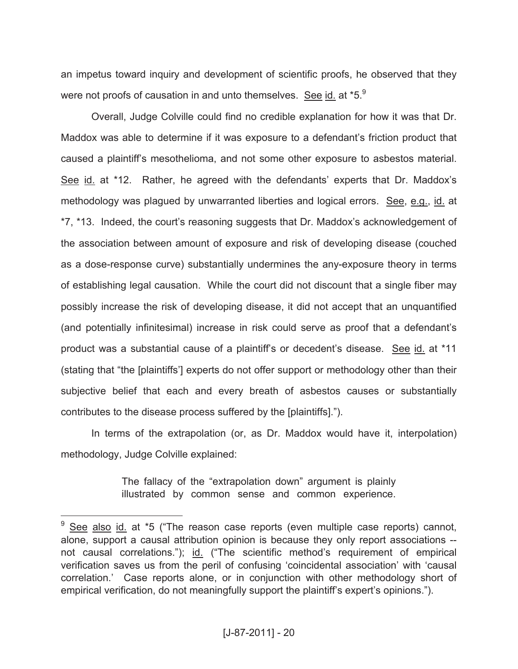an impetus toward inquiry and development of scientific proofs, he observed that they were not proofs of causation in and unto themselves. See id. at \*5.<sup>9</sup>

Overall, Judge Colville could find no credible explanation for how it was that Dr. Maddox was able to determine if it was exposure to a defendant's friction product that caused a plaintiff's mesothelioma, and not some other exposure to asbestos material. See id. at \*12. Rather, he agreed with the defendants' experts that Dr. Maddox's methodology was plagued by unwarranted liberties and logical errors. See, e.g., id. at \*7, \*13. Indeed, the court's reasoning suggests that Dr. Maddox's acknowledgement of the association between amount of exposure and risk of developing disease (couched as a dose-response curve) substantially undermines the any-exposure theory in terms of establishing legal causation. While the court did not discount that a single fiber may possibly increase the risk of developing disease, it did not accept that an unquantified (and potentially infinitesimal) increase in risk could serve as proof that a defendant's product was a substantial cause of a plaintiff's or decedent's disease. See id. at \*11 (stating that "the [plaintiffs'] experts do not offer support or methodology other than their subjective belief that each and every breath of asbestos causes or substantially contributes to the disease process suffered by the [plaintiffs].").

In terms of the extrapolation (or, as Dr. Maddox would have it, interpolation) methodology, Judge Colville explained:

> The fallacy of the "extrapolation down" argument is plainly illustrated by common sense and common experience.

See also id. at \*5 ("The reason case reports (even multiple case reports) cannot, alone, support a causal attribution opinion is because they only report associations - not causal correlations."); id. ("The scientific method's requirement of empirical verification saves us from the peril of confusing 'coincidental association' with 'causal correlation.' Case reports alone, or in conjunction with other methodology short of empirical verification, do not meaningfully support the plaintiff's expert's opinions.").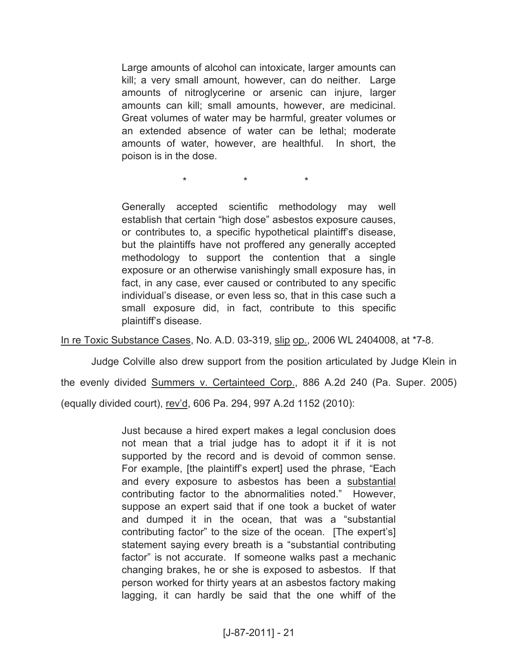Large amounts of alcohol can intoxicate, larger amounts can kill; a very small amount, however, can do neither. Large amounts of nitroglycerine or arsenic can injure, larger amounts can kill; small amounts, however, are medicinal. Great volumes of water may be harmful, greater volumes or an extended absence of water can be lethal; moderate amounts of water, however, are healthful. In short, the poison is in the dose.

\* \* \*

Generally accepted scientific methodology may well establish that certain "high dose" asbestos exposure causes, or contributes to, a specific hypothetical plaintiff's disease, but the plaintiffs have not proffered any generally accepted methodology to support the contention that a single exposure or an otherwise vanishingly small exposure has, in fact, in any case, ever caused or contributed to any specific individual's disease, or even less so, that in this case such a small exposure did, in fact, contribute to this specific plaintiff's disease.

In re Toxic Substance Cases, No. A.D. 03-319, slip op., 2006 WL 2404008, at \*7-8.

Judge Colville also drew support from the position articulated by Judge Klein in the evenly divided Summers v. Certainteed Corp., 886 A.2d 240 (Pa. Super. 2005) (equally divided court), rev'd, 606 Pa. 294, 997 A.2d 1152 (2010):

> Just because a hired expert makes a legal conclusion does not mean that a trial judge has to adopt it if it is not supported by the record and is devoid of common sense. For example, [the plaintiff's expert] used the phrase, "Each and every exposure to asbestos has been a substantial contributing factor to the abnormalities noted." However, suppose an expert said that if one took a bucket of water and dumped it in the ocean, that was a "substantial contributing factor" to the size of the ocean. [The expert's] statement saying every breath is a "substantial contributing factor" is not accurate. If someone walks past a mechanic changing brakes, he or she is exposed to asbestos. If that person worked for thirty years at an asbestos factory making lagging, it can hardly be said that the one whiff of the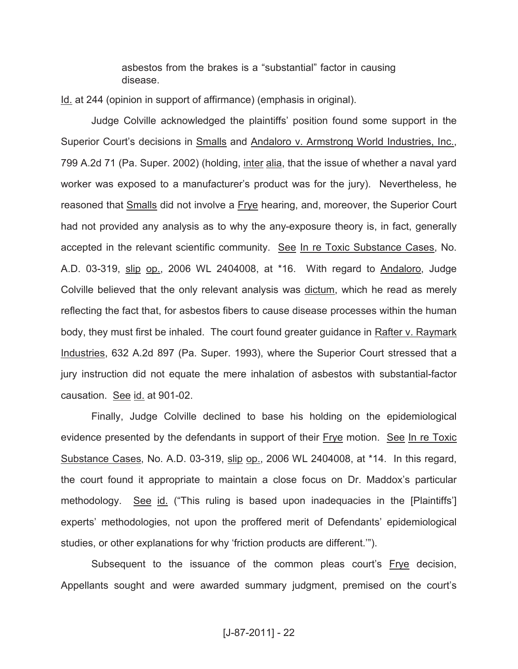asbestos from the brakes is a "substantial" factor in causing disease.

Id. at 244 (opinion in support of affirmance) (emphasis in original).

Judge Colville acknowledged the plaintiffs' position found some support in the Superior Court's decisions in Smalls and Andaloro v. Armstrong World Industries, Inc., 799 A.2d 71 (Pa. Super. 2002) (holding, inter alia, that the issue of whether a naval yard worker was exposed to a manufacturer's product was for the jury). Nevertheless, he reasoned that Smalls did not involve a Frye hearing, and, moreover, the Superior Court had not provided any analysis as to why the any-exposure theory is, in fact, generally accepted in the relevant scientific community. See In re Toxic Substance Cases, No. A.D. 03-319, slip op., 2006 WL 2404008, at \*16. With regard to Andaloro, Judge Colville believed that the only relevant analysis was dictum, which he read as merely reflecting the fact that, for asbestos fibers to cause disease processes within the human body, they must first be inhaled. The court found greater guidance in Rafter v. Raymark Industries, 632 A.2d 897 (Pa. Super. 1993), where the Superior Court stressed that a jury instruction did not equate the mere inhalation of asbestos with substantial-factor causation. See id. at 901-02.

Finally, Judge Colville declined to base his holding on the epidemiological evidence presented by the defendants in support of their Frye motion. See In re Toxic Substance Cases, No. A.D. 03-319, slip op., 2006 WL 2404008, at \*14. In this regard, the court found it appropriate to maintain a close focus on Dr. Maddox's particular methodology. See id. ("This ruling is based upon inadequacies in the [Plaintiffs'] experts' methodologies, not upon the proffered merit of Defendants' epidemiological studies, or other explanations for why 'friction products are different.'").

Subsequent to the issuance of the common pleas court's Frye decision, Appellants sought and were awarded summary judgment, premised on the court's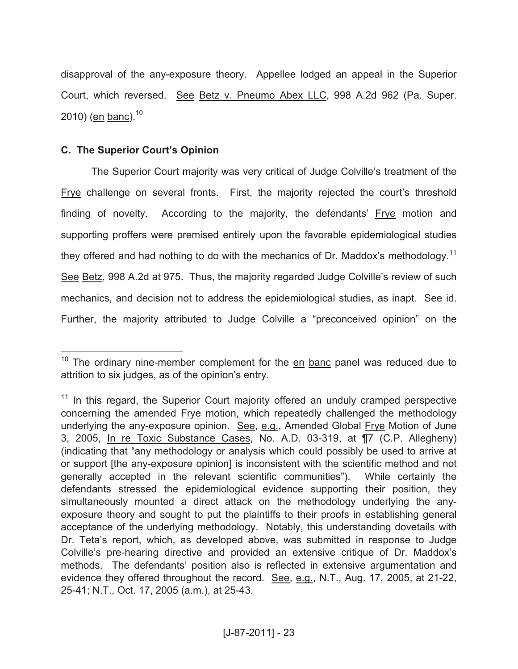disapproval of the any-exposure theory. Appellee lodged an appeal in the Superior Court, which reversed. See Betz v. Pneumo Abex LLC, 998 A.2d 962 (Pa. Super. 2010) (en banc). $10$ 

## **C. The Superior Court's Opinion**

 $\overline{a}$ 

The Superior Court majority was very critical of Judge Colville's treatment of the Frye challenge on several fronts. First, the majority rejected the court's threshold finding of novelty. According to the majority, the defendants' Frye motion and supporting proffers were premised entirely upon the favorable epidemiological studies they offered and had nothing to do with the mechanics of Dr. Maddox's methodology.<sup>11</sup> See Betz, 998 A.2d at 975. Thus, the majority regarded Judge Colville's review of such mechanics, and decision not to address the epidemiological studies, as inapt. See id. Further, the majority attributed to Judge Colville a "preconceived opinion" on the

<sup>&</sup>lt;sup>10</sup> The ordinary nine-member complement for the  $en$  banc panel was reduced due to attrition to six judges, as of the opinion's entry.

<sup>&</sup>lt;sup>11</sup> In this regard, the Superior Court majority offered an unduly cramped perspective concerning the amended Frye motion, which repeatedly challenged the methodology underlying the any-exposure opinion. See, e.g., Amended Global Frye Motion of June 3, 2005, In re Toxic Substance Cases, No. A.D. 03-319, at ¶7 (C.P. Allegheny) (indicating that "any methodology or analysis which could possibly be used to arrive at or support [the any-exposure opinion] is inconsistent with the scientific method and not generally accepted in the relevant scientific communities"). While certainly the defendants stressed the epidemiological evidence supporting their position, they simultaneously mounted a direct attack on the methodology underlying the anyexposure theory and sought to put the plaintiffs to their proofs in establishing general acceptance of the underlying methodology. Notably, this understanding dovetails with Dr. Teta's report, which, as developed above, was submitted in response to Judge Colville's pre-hearing directive and provided an extensive critique of Dr. Maddox's methods. The defendants' position also is reflected in extensive argumentation and evidence they offered throughout the record. See, e.g., N.T., Aug. 17, 2005, at 21-22, 25-41; N.T., Oct. 17, 2005 (a.m.), at 25-43.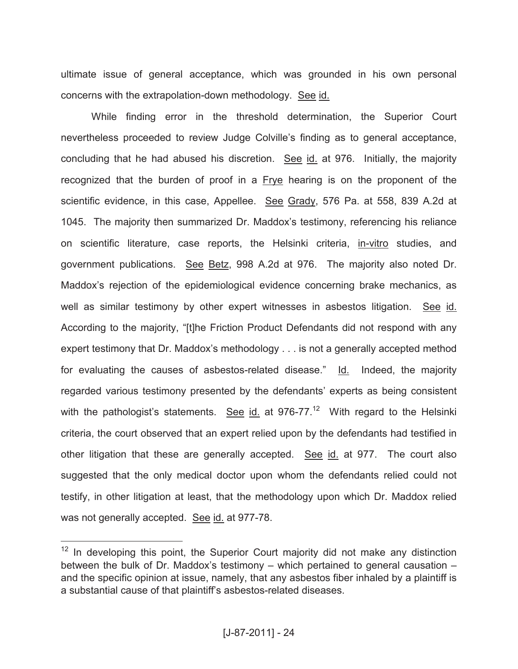ultimate issue of general acceptance, which was grounded in his own personal concerns with the extrapolation-down methodology. See id.

While finding error in the threshold determination, the Superior Court nevertheless proceeded to review Judge Colville's finding as to general acceptance, concluding that he had abused his discretion. See id. at 976. Initially, the majority recognized that the burden of proof in a Frye hearing is on the proponent of the scientific evidence, in this case, Appellee. See Grady, 576 Pa. at 558, 839 A.2d at 1045. The majority then summarized Dr. Maddox's testimony, referencing his reliance on scientific literature, case reports, the Helsinki criteria, in-vitro studies, and government publications. See Betz, 998 A.2d at 976. The majority also noted Dr. Maddox's rejection of the epidemiological evidence concerning brake mechanics, as well as similar testimony by other expert witnesses in asbestos litigation. See id. According to the majority, "[t]he Friction Product Defendants did not respond with any expert testimony that Dr. Maddox's methodology . . . is not a generally accepted method for evaluating the causes of asbestos-related disease." Id. Indeed, the majority regarded various testimony presented by the defendants' experts as being consistent with the pathologist's statements. See id. at 976-77.<sup>12</sup> With regard to the Helsinki criteria, the court observed that an expert relied upon by the defendants had testified in other litigation that these are generally accepted. See id. at 977. The court also suggested that the only medical doctor upon whom the defendants relied could not testify, in other litigation at least, that the methodology upon which Dr. Maddox relied was not generally accepted. See id. at 977-78.

 $12$  In developing this point, the Superior Court majority did not make any distinction between the bulk of Dr. Maddox's testimony – which pertained to general causation – and the specific opinion at issue, namely, that any asbestos fiber inhaled by a plaintiff is a substantial cause of that plaintiff's asbestos-related diseases.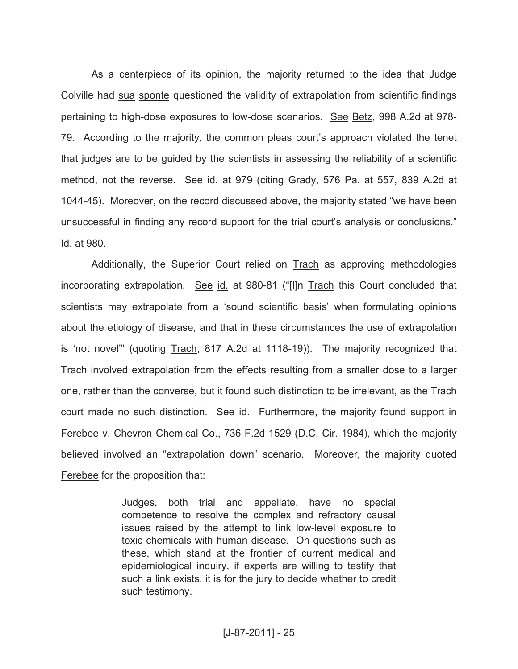As a centerpiece of its opinion, the majority returned to the idea that Judge Colville had sua sponte questioned the validity of extrapolation from scientific findings pertaining to high-dose exposures to low-dose scenarios. See Betz, 998 A.2d at 978- 79. According to the majority, the common pleas court's approach violated the tenet that judges are to be guided by the scientists in assessing the reliability of a scientific method, not the reverse. See id. at 979 (citing Grady, 576 Pa. at 557, 839 A.2d at 1044-45). Moreover, on the record discussed above, the majority stated "we have been unsuccessful in finding any record support for the trial court's analysis or conclusions." Id. at 980.

Additionally, the Superior Court relied on **Trach** as approving methodologies incorporating extrapolation. See id. at 980-81 ("[I]n Trach this Court concluded that scientists may extrapolate from a 'sound scientific basis' when formulating opinions about the etiology of disease, and that in these circumstances the use of extrapolation is 'not novel'" (quoting Trach, 817 A.2d at 1118-19)). The majority recognized that Trach involved extrapolation from the effects resulting from a smaller dose to a larger one, rather than the converse, but it found such distinction to be irrelevant, as the Trach court made no such distinction. See id. Furthermore, the majority found support in Ferebee v. Chevron Chemical Co., 736 F.2d 1529 (D.C. Cir. 1984), which the majority believed involved an "extrapolation down" scenario. Moreover, the majority quoted Ferebee for the proposition that:

> Judges, both trial and appellate, have no special competence to resolve the complex and refractory causal issues raised by the attempt to link low-level exposure to toxic chemicals with human disease. On questions such as these, which stand at the frontier of current medical and epidemiological inquiry, if experts are willing to testify that such a link exists, it is for the jury to decide whether to credit such testimony.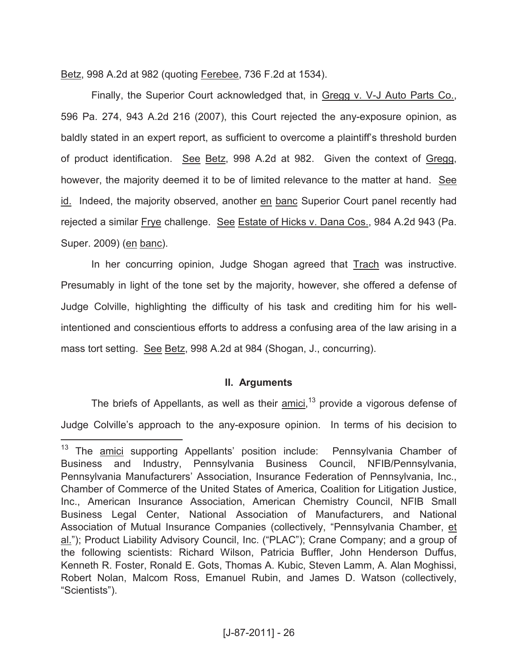Betz, 998 A.2d at 982 (quoting Ferebee, 736 F.2d at 1534).

Finally, the Superior Court acknowledged that, in Gregg v. V-J Auto Parts Co., 596 Pa. 274, 943 A.2d 216 (2007), this Court rejected the any-exposure opinion, as baldly stated in an expert report, as sufficient to overcome a plaintiff's threshold burden of product identification. See Betz, 998 A.2d at 982. Given the context of Gregg, however, the majority deemed it to be of limited relevance to the matter at hand. See id. Indeed, the majority observed, another en banc Superior Court panel recently had rejected a similar Frye challenge. See Estate of Hicks v. Dana Cos., 984 A.2d 943 (Pa. Super. 2009) (en banc).

In her concurring opinion, Judge Shogan agreed that Trach was instructive. Presumably in light of the tone set by the majority, however, she offered a defense of Judge Colville, highlighting the difficulty of his task and crediting him for his wellintentioned and conscientious efforts to address a confusing area of the law arising in a mass tort setting. See Betz, 998 A.2d at 984 (Shogan, J., concurring).

## **II. Arguments**

The briefs of Appellants, as well as their **amici**,<sup>13</sup> provide a vigorous defense of Judge Colville's approach to the any-exposure opinion. In terms of his decision to

 $13$  The amici supporting Appellants' position include: Pennsylvania Chamber of Business and Industry, Pennsylvania Business Council, NFIB/Pennsylvania, Pennsylvania Manufacturers' Association, Insurance Federation of Pennsylvania, Inc., Chamber of Commerce of the United States of America, Coalition for Litigation Justice, Inc., American Insurance Association, American Chemistry Council, NFIB Small Business Legal Center, National Association of Manufacturers, and National Association of Mutual Insurance Companies (collectively, "Pennsylvania Chamber, et al."); Product Liability Advisory Council, Inc. ("PLAC"); Crane Company; and a group of the following scientists: Richard Wilson, Patricia Buffler, John Henderson Duffus, Kenneth R. Foster, Ronald E. Gots, Thomas A. Kubic, Steven Lamm, A. Alan Moghissi, Robert Nolan, Malcom Ross, Emanuel Rubin, and James D. Watson (collectively, "Scientists").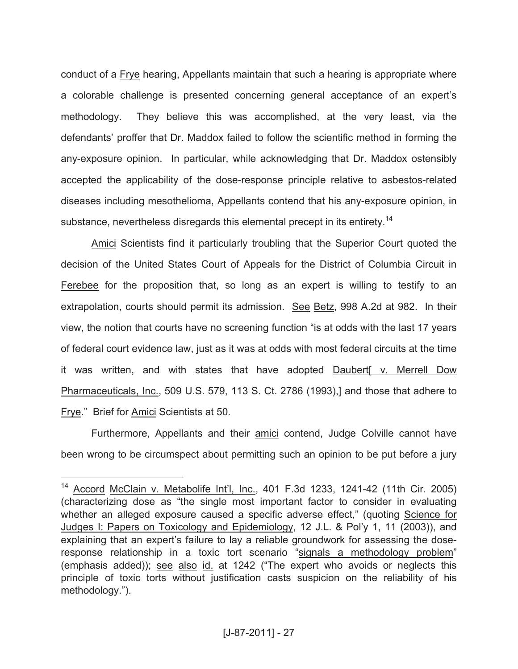conduct of a Frye hearing, Appellants maintain that such a hearing is appropriate where a colorable challenge is presented concerning general acceptance of an expert's methodology. They believe this was accomplished, at the very least, via the defendants' proffer that Dr. Maddox failed to follow the scientific method in forming the any-exposure opinion. In particular, while acknowledging that Dr. Maddox ostensibly accepted the applicability of the dose-response principle relative to asbestos-related diseases including mesothelioma, Appellants contend that his any-exposure opinion, in substance, nevertheless disregards this elemental precept in its entirety.<sup>14</sup>

Amici Scientists find it particularly troubling that the Superior Court quoted the decision of the United States Court of Appeals for the District of Columbia Circuit in Ferebee for the proposition that, so long as an expert is willing to testify to an extrapolation, courts should permit its admission. See Betz, 998 A.2d at 982. In their view, the notion that courts have no screening function "is at odds with the last 17 years of federal court evidence law, just as it was at odds with most federal circuits at the time it was written, and with states that have adopted Daubert[ v. Merrell Dow Pharmaceuticals, Inc., 509 U.S. 579, 113 S. Ct. 2786 (1993),] and those that adhere to Frye." Brief for Amici Scientists at 50.

Furthermore, Appellants and their amici contend, Judge Colville cannot have been wrong to be circumspect about permitting such an opinion to be put before a jury

<sup>&</sup>lt;sup>14</sup> Accord McClain v. Metabolife Int'l, Inc., 401 F.3d 1233, 1241-42 (11th Cir. 2005) (characterizing dose as "the single most important factor to consider in evaluating whether an alleged exposure caused a specific adverse effect," (quoting Science for Judges I: Papers on Toxicology and Epidemiology, 12 J.L. & Pol'y 1, 11 (2003)), and explaining that an expert's failure to lay a reliable groundwork for assessing the doseresponse relationship in a toxic tort scenario "signals a methodology problem" (emphasis added)); see also id. at 1242 ("The expert who avoids or neglects this principle of toxic torts without justification casts suspicion on the reliability of his methodology.").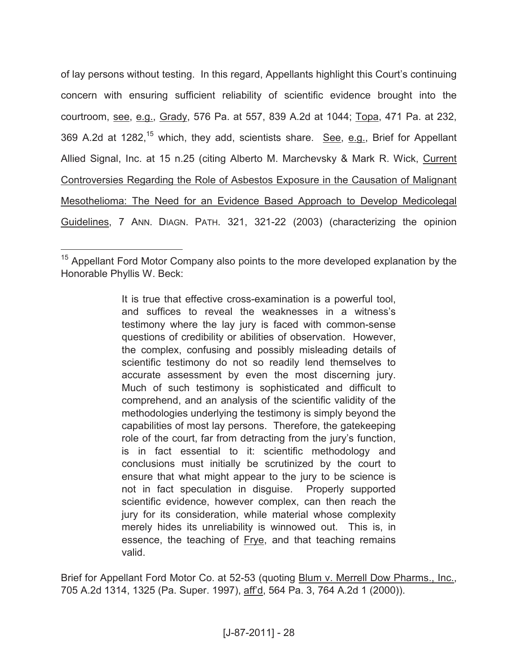of lay persons without testing. In this regard, Appellants highlight this Court's continuing concern with ensuring sufficient reliability of scientific evidence brought into the courtroom, see, e.g., Grady, 576 Pa. at 557, 839 A.2d at 1044; Topa, 471 Pa. at 232, 369 A.2d at 1282,<sup>15</sup> which, they add, scientists share. See, e.g., Brief for Appellant Allied Signal, Inc. at 15 n.25 (citing Alberto M. Marchevsky & Mark R. Wick, Current Controversies Regarding the Role of Asbestos Exposure in the Causation of Malignant Mesothelioma: The Need for an Evidence Based Approach to Develop Medicolegal Guidelines, 7 ANN. DIAGN. PATH. 321, 321-22 (2003) (characterizing the opinion

 $\overline{a}$ 

It is true that effective cross-examination is a powerful tool, and suffices to reveal the weaknesses in a witness's testimony where the lay jury is faced with common-sense questions of credibility or abilities of observation. However, the complex, confusing and possibly misleading details of scientific testimony do not so readily lend themselves to accurate assessment by even the most discerning jury. Much of such testimony is sophisticated and difficult to comprehend, and an analysis of the scientific validity of the methodologies underlying the testimony is simply beyond the capabilities of most lay persons. Therefore, the gatekeeping role of the court, far from detracting from the jury's function, is in fact essential to it: scientific methodology and conclusions must initially be scrutinized by the court to ensure that what might appear to the jury to be science is not in fact speculation in disguise. Properly supported scientific evidence, however complex, can then reach the jury for its consideration, while material whose complexity merely hides its unreliability is winnowed out. This is, in essence, the teaching of Frye, and that teaching remains valid.

Brief for Appellant Ford Motor Co. at 52-53 (quoting Blum v. Merrell Dow Pharms., Inc., 705 A.2d 1314, 1325 (Pa. Super. 1997), aff'd, 564 Pa. 3, 764 A.2d 1 (2000)).

 $15$  Appellant Ford Motor Company also points to the more developed explanation by the Honorable Phyllis W. Beck: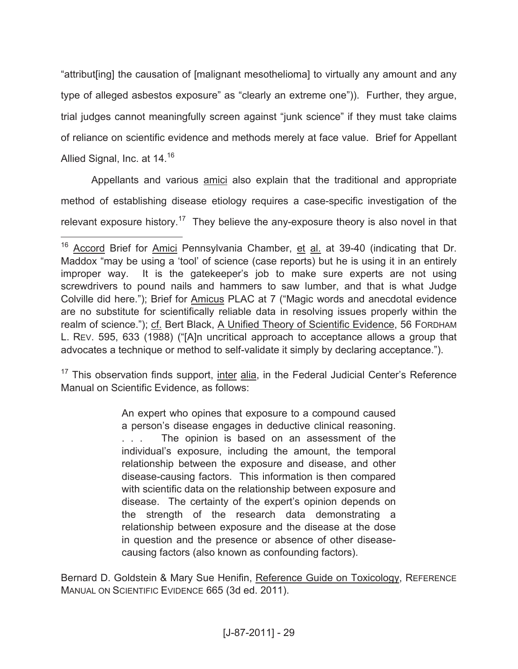"attribut[ing] the causation of [malignant mesothelioma] to virtually any amount and any type of alleged asbestos exposure" as "clearly an extreme one")). Further, they argue, trial judges cannot meaningfully screen against "junk science" if they must take claims of reliance on scientific evidence and methods merely at face value. Brief for Appellant Allied Signal, Inc. at 14.<sup>16</sup>

Appellants and various amici also explain that the traditional and appropriate method of establishing disease etiology requires a case-specific investigation of the relevant exposure history.<sup>17</sup> They believe the any-exposure theory is also novel in that

 $\overline{a}$ 

<sup>17</sup> This observation finds support, *inter alia*, in the Federal Judicial Center's Reference Manual on Scientific Evidence, as follows:

> An expert who opines that exposure to a compound caused a person's disease engages in deductive clinical reasoning. . . . The opinion is based on an assessment of the individual's exposure, including the amount, the temporal relationship between the exposure and disease, and other disease-causing factors. This information is then compared with scientific data on the relationship between exposure and disease. The certainty of the expert's opinion depends on the strength of the research data demonstrating a relationship between exposure and the disease at the dose in question and the presence or absence of other diseasecausing factors (also known as confounding factors).

Bernard D. Goldstein & Mary Sue Henifin, Reference Guide on Toxicology, REFERENCE MANUAL ON SCIENTIFIC EVIDENCE 665 (3d ed. 2011).

<sup>&</sup>lt;sup>16</sup> Accord Brief for Amici Pennsylvania Chamber, et al. at 39-40 (indicating that Dr. Maddox "may be using a 'tool' of science (case reports) but he is using it in an entirely improper way. It is the gatekeeper's job to make sure experts are not using screwdrivers to pound nails and hammers to saw lumber, and that is what Judge Colville did here."); Brief for Amicus PLAC at 7 ("Magic words and anecdotal evidence are no substitute for scientifically reliable data in resolving issues properly within the realm of science."); cf. Bert Black, A Unified Theory of Scientific Evidence, 56 FORDHAM L. REV. 595, 633 (1988) ("[A]n uncritical approach to acceptance allows a group that advocates a technique or method to self-validate it simply by declaring acceptance.").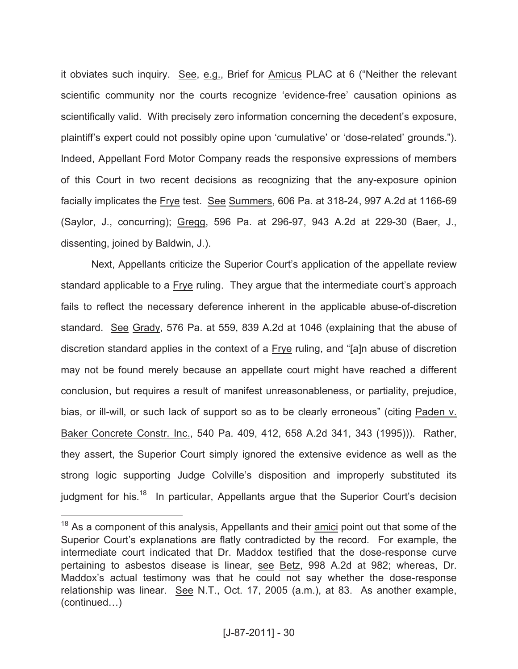it obviates such inquiry. See, e.g., Brief for Amicus PLAC at 6 ("Neither the relevant scientific community nor the courts recognize 'evidence-free' causation opinions as scientifically valid. With precisely zero information concerning the decedent's exposure, plaintiff's expert could not possibly opine upon 'cumulative' or 'dose-related' grounds."). Indeed, Appellant Ford Motor Company reads the responsive expressions of members of this Court in two recent decisions as recognizing that the any-exposure opinion facially implicates the Frye test. See Summers, 606 Pa. at 318-24, 997 A.2d at 1166-69 (Saylor, J., concurring); Gregg, 596 Pa. at 296-97, 943 A.2d at 229-30 (Baer, J., dissenting, joined by Baldwin, J.).

Next, Appellants criticize the Superior Court's application of the appellate review standard applicable to a Frye ruling. They argue that the intermediate court's approach fails to reflect the necessary deference inherent in the applicable abuse-of-discretion standard. See Grady, 576 Pa. at 559, 839 A.2d at 1046 (explaining that the abuse of discretion standard applies in the context of a Frye ruling, and "[a]n abuse of discretion may not be found merely because an appellate court might have reached a different conclusion, but requires a result of manifest unreasonableness, or partiality, prejudice, bias, or ill-will, or such lack of support so as to be clearly erroneous" (citing Paden v. Baker Concrete Constr. Inc., 540 Pa. 409, 412, 658 A.2d 341, 343 (1995))). Rather, they assert, the Superior Court simply ignored the extensive evidence as well as the strong logic supporting Judge Colville's disposition and improperly substituted its judgment for his.<sup>18</sup> In particular, Appellants argue that the Superior Court's decision

<sup>&</sup>lt;sup>18</sup> As a component of this analysis, Appellants and their **amici** point out that some of the Superior Court's explanations are flatly contradicted by the record. For example, the intermediate court indicated that Dr. Maddox testified that the dose-response curve pertaining to asbestos disease is linear, see Betz, 998 A.2d at 982; whereas, Dr. Maddox's actual testimony was that he could not say whether the dose-response relationship was linear. See N.T., Oct. 17, 2005 (a.m.), at 83. As another example, (continued…)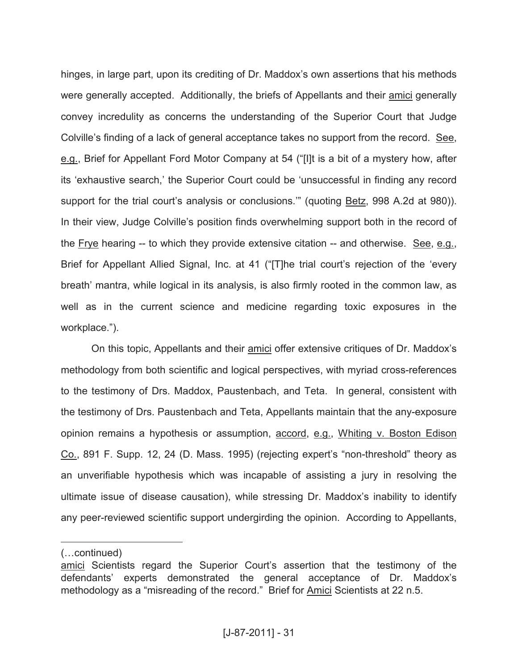hinges, in large part, upon its crediting of Dr. Maddox's own assertions that his methods were generally accepted. Additionally, the briefs of Appellants and their amici generally convey incredulity as concerns the understanding of the Superior Court that Judge Colville's finding of a lack of general acceptance takes no support from the record. See, e.g., Brief for Appellant Ford Motor Company at 54 ("[I]t is a bit of a mystery how, after its 'exhaustive search,' the Superior Court could be 'unsuccessful in finding any record support for the trial court's analysis or conclusions.'" (quoting Betz, 998 A.2d at 980)). In their view, Judge Colville's position finds overwhelming support both in the record of the Frye hearing -- to which they provide extensive citation -- and otherwise. See, e.g., Brief for Appellant Allied Signal, Inc. at 41 ("[T]he trial court's rejection of the 'every breath' mantra, while logical in its analysis, is also firmly rooted in the common law, as well as in the current science and medicine regarding toxic exposures in the workplace.").

On this topic, Appellants and their amici offer extensive critiques of Dr. Maddox's methodology from both scientific and logical perspectives, with myriad cross-references to the testimony of Drs. Maddox, Paustenbach, and Teta. In general, consistent with the testimony of Drs. Paustenbach and Teta, Appellants maintain that the any-exposure opinion remains a hypothesis or assumption, accord, e.g., Whiting v. Boston Edison Co., 891 F. Supp. 12, 24 (D. Mass. 1995) (rejecting expert's "non-threshold" theory as an unverifiable hypothesis which was incapable of assisting a jury in resolving the ultimate issue of disease causation), while stressing Dr. Maddox's inability to identify any peer-reviewed scientific support undergirding the opinion. According to Appellants,

<sup>(…</sup>continued)

amici Scientists regard the Superior Court's assertion that the testimony of the defendants' experts demonstrated the general acceptance of Dr. Maddox's methodology as a "misreading of the record." Brief for Amici Scientists at 22 n.5.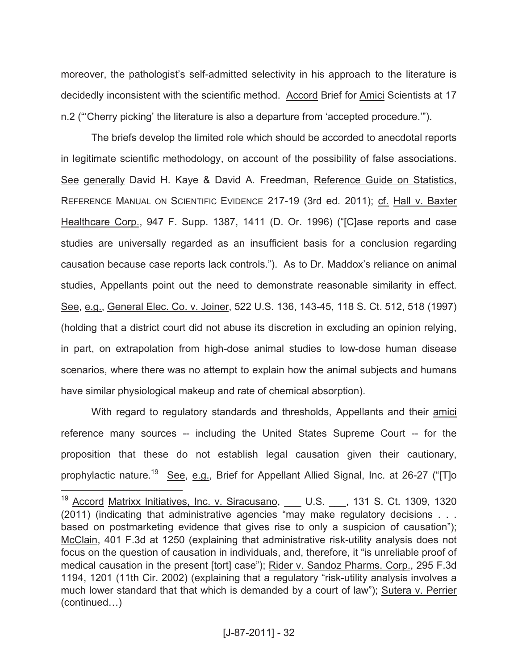moreover, the pathologist's self-admitted selectivity in his approach to the literature is decidedly inconsistent with the scientific method. Accord Brief for Amici Scientists at 17 n.2 ("'Cherry picking' the literature is also a departure from 'accepted procedure.'").

The briefs develop the limited role which should be accorded to anecdotal reports in legitimate scientific methodology, on account of the possibility of false associations. See generally David H. Kaye & David A. Freedman, Reference Guide on Statistics, REFERENCE MANUAL ON SCIENTIFIC EVIDENCE 217-19 (3rd ed. 2011); cf. Hall v. Baxter Healthcare Corp., 947 F. Supp. 1387, 1411 (D. Or. 1996) ("[C]ase reports and case studies are universally regarded as an insufficient basis for a conclusion regarding causation because case reports lack controls."). As to Dr. Maddox's reliance on animal studies, Appellants point out the need to demonstrate reasonable similarity in effect. See, e.g., General Elec. Co. v. Joiner, 522 U.S. 136, 143-45, 118 S. Ct. 512, 518 (1997) (holding that a district court did not abuse its discretion in excluding an opinion relying, in part, on extrapolation from high-dose animal studies to low-dose human disease scenarios, where there was no attempt to explain how the animal subjects and humans have similar physiological makeup and rate of chemical absorption).

With regard to regulatory standards and thresholds, Appellants and their amici reference many sources -- including the United States Supreme Court -- for the proposition that these do not establish legal causation given their cautionary, prophylactic nature.<sup>19</sup> See, e.g., Brief for Appellant Allied Signal, Inc. at 26-27 ("[T]o

<sup>&</sup>lt;sup>19</sup> Accord Matrixx Initiatives, Inc. v. Siracusano, \_\_\_ U.S. \_\_\_, 131 S. Ct. 1309, 1320 (2011) (indicating that administrative agencies "may make regulatory decisions . . . based on postmarketing evidence that gives rise to only a suspicion of causation"); McClain, 401 F.3d at 1250 (explaining that administrative risk-utility analysis does not focus on the question of causation in individuals, and, therefore, it "is unreliable proof of medical causation in the present [tort] case"); Rider v. Sandoz Pharms. Corp., 295 F.3d 1194, 1201 (11th Cir. 2002) (explaining that a regulatory "risk-utility analysis involves a much lower standard that that which is demanded by a court of law"); Sutera v. Perrier (continued…)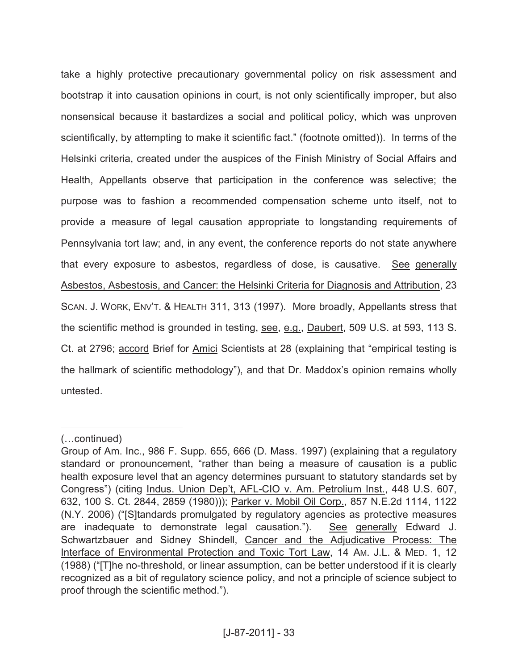take a highly protective precautionary governmental policy on risk assessment and bootstrap it into causation opinions in court, is not only scientifically improper, but also nonsensical because it bastardizes a social and political policy, which was unproven scientifically, by attempting to make it scientific fact." (footnote omitted)). In terms of the Helsinki criteria, created under the auspices of the Finish Ministry of Social Affairs and Health, Appellants observe that participation in the conference was selective; the purpose was to fashion a recommended compensation scheme unto itself, not to provide a measure of legal causation appropriate to longstanding requirements of Pennsylvania tort law; and, in any event, the conference reports do not state anywhere that every exposure to asbestos, regardless of dose, is causative. See generally Asbestos, Asbestosis, and Cancer: the Helsinki Criteria for Diagnosis and Attribution, 23 SCAN. J. WORK, ENV'T. & HEALTH 311, 313 (1997). More broadly, Appellants stress that the scientific method is grounded in testing, see, e.g., Daubert, 509 U.S. at 593, 113 S. Ct. at 2796; accord Brief for Amici Scientists at 28 (explaining that "empirical testing is the hallmark of scientific methodology"), and that Dr. Maddox's opinion remains wholly untested.

<sup>(…</sup>continued)

Group of Am. Inc., 986 F. Supp. 655, 666 (D. Mass. 1997) (explaining that a regulatory standard or pronouncement, "rather than being a measure of causation is a public health exposure level that an agency determines pursuant to statutory standards set by Congress") (citing Indus. Union Dep't, AFL-CIO v. Am. Petrolium Inst., 448 U.S. 607, 632, 100 S. Ct. 2844, 2859 (1980))); Parker v. Mobil Oil Corp., 857 N.E.2d 1114, 1122 (N.Y. 2006) ("[S]tandards promulgated by regulatory agencies as protective measures are inadequate to demonstrate legal causation."). See generally Edward J. Schwartzbauer and Sidney Shindell, Cancer and the Adjudicative Process: The Interface of Environmental Protection and Toxic Tort Law, 14 AM. J.L. & MED. 1, 12 (1988) ("[T]he no-threshold, or linear assumption, can be better understood if it is clearly recognized as a bit of regulatory science policy, and not a principle of science subject to proof through the scientific method.").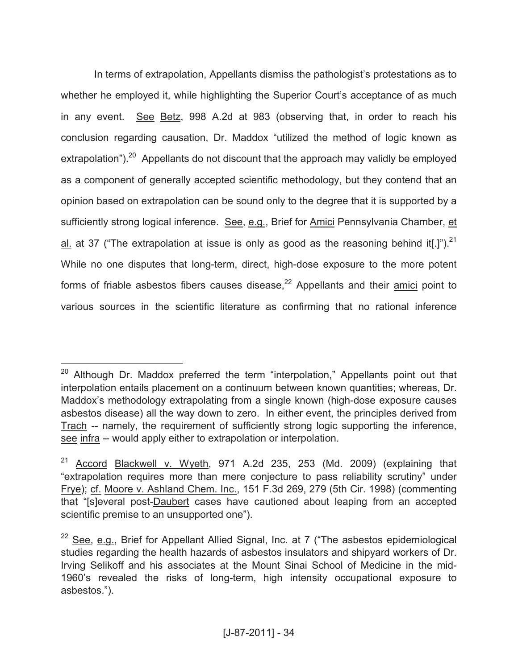In terms of extrapolation, Appellants dismiss the pathologist's protestations as to whether he employed it, while highlighting the Superior Court's acceptance of as much in any event. See Betz, 998 A.2d at 983 (observing that, in order to reach his conclusion regarding causation, Dr. Maddox "utilized the method of logic known as extrapolation").<sup>20</sup> Appellants do not discount that the approach may validly be employed as a component of generally accepted scientific methodology, but they contend that an opinion based on extrapolation can be sound only to the degree that it is supported by a sufficiently strong logical inference. See, e.g., Brief for Amici Pennsylvania Chamber, et al. at 37 ("The extrapolation at issue is only as good as the reasoning behind it[.]").<sup>21</sup> While no one disputes that long-term, direct, high-dose exposure to the more potent forms of friable asbestos fibers causes disease, $^{22}$  Appellants and their amici point to various sources in the scientific literature as confirming that no rational inference

<sup>&</sup>lt;sup>20</sup> Although Dr. Maddox preferred the term "interpolation," Appellants point out that interpolation entails placement on a continuum between known quantities; whereas, Dr. Maddox's methodology extrapolating from a single known (high-dose exposure causes asbestos disease) all the way down to zero. In either event, the principles derived from Trach -- namely, the requirement of sufficiently strong logic supporting the inference, see infra -- would apply either to extrapolation or interpolation.

<sup>&</sup>lt;sup>21</sup> Accord Blackwell v. Wyeth, 971 A.2d 235, 253 (Md. 2009) (explaining that "extrapolation requires more than mere conjecture to pass reliability scrutiny" under Frye); cf. Moore v. Ashland Chem. Inc., 151 F.3d 269, 279 (5th Cir. 1998) (commenting that "[s]everal post-Daubert cases have cautioned about leaping from an accepted scientific premise to an unsupported one").

 $22$  See, e.g., Brief for Appellant Allied Signal, Inc. at 7 ("The asbestos epidemiological studies regarding the health hazards of asbestos insulators and shipyard workers of Dr. Irving Selikoff and his associates at the Mount Sinai School of Medicine in the mid-1960's revealed the risks of long-term, high intensity occupational exposure to asbestos.").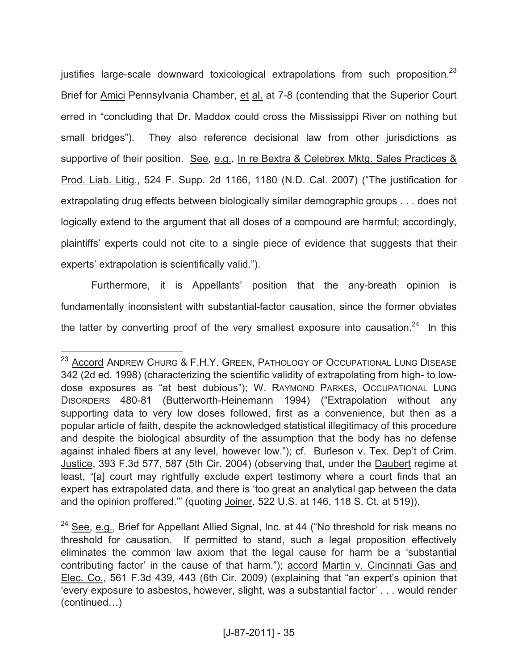justifies large-scale downward toxicological extrapolations from such proposition.<sup>23</sup> Brief for Amici Pennsylvania Chamber, et al. at 7-8 (contending that the Superior Court erred in "concluding that Dr. Maddox could cross the Mississippi River on nothing but small bridges"). They also reference decisional law from other jurisdictions as supportive of their position. See, e.g., In re Bextra & Celebrex Mktg. Sales Practices & Prod. Liab. Litig., 524 F. Supp. 2d 1166, 1180 (N.D. Cal. 2007) ("The justification for extrapolating drug effects between biologically similar demographic groups . . . does not logically extend to the argument that all doses of a compound are harmful; accordingly, plaintiffs' experts could not cite to a single piece of evidence that suggests that their experts' extrapolation is scientifically valid.").

Furthermore, it is Appellants' position that the any-breath opinion is fundamentally inconsistent with substantial-factor causation, since the former obviates the latter by converting proof of the very smallest exposure into causation.<sup>24</sup> In this

<sup>&</sup>lt;sup>23</sup> Accord ANDREW CHURG & F.H.Y. GREEN, PATHOLOGY OF OCCUPATIONAL LUNG DISEASE 342 (2d ed. 1998) (characterizing the scientific validity of extrapolating from high- to lowdose exposures as "at best dubious"); W. RAYMOND PARKES, OCCUPATIONAL LUNG DISORDERS 480-81 (Butterworth-Heinemann 1994) ("Extrapolation without any supporting data to very low doses followed, first as a convenience, but then as a popular article of faith, despite the acknowledged statistical illegitimacy of this procedure and despite the biological absurdity of the assumption that the body has no defense against inhaled fibers at any level, however low."); cf. Burleson v. Tex. Dep't of Crim. Justice, 393 F.3d 577, 587 (5th Cir. 2004) (observing that, under the Daubert regime at least, "[a] court may rightfully exclude expert testimony where a court finds that an expert has extrapolated data, and there is 'too great an analytical gap between the data and the opinion proffered.'" (quoting Joiner, 522 U.S. at 146, 118 S. Ct. at 519)).

 $24$  See, e.g., Brief for Appellant Allied Signal, Inc. at 44 ("No threshold for risk means no threshold for causation. If permitted to stand, such a legal proposition effectively eliminates the common law axiom that the legal cause for harm be a 'substantial contributing factor' in the cause of that harm."); accord Martin v. Cincinnati Gas and Elec. Co., 561 F.3d 439, 443 (6th Cir. 2009) (explaining that "an expert's opinion that 'every exposure to asbestos, however, slight, was a substantial factor' . . . would render (continued…)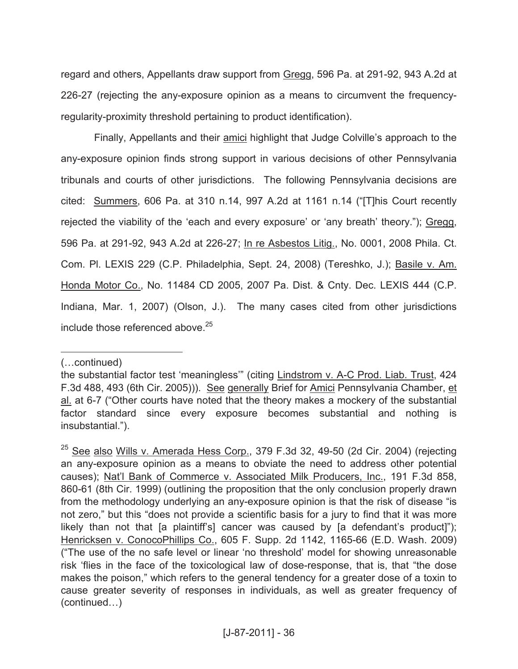regard and others, Appellants draw support from Gregg, 596 Pa. at 291-92, 943 A.2d at 226-27 (rejecting the any-exposure opinion as a means to circumvent the frequencyregularity-proximity threshold pertaining to product identification).

Finally, Appellants and their amici highlight that Judge Colville's approach to the any-exposure opinion finds strong support in various decisions of other Pennsylvania tribunals and courts of other jurisdictions. The following Pennsylvania decisions are cited: Summers, 606 Pa. at 310 n.14, 997 A.2d at 1161 n.14 ("[T]his Court recently rejected the viability of the 'each and every exposure' or 'any breath' theory."); Gregg, 596 Pa. at 291-92, 943 A.2d at 226-27; In re Asbestos Litig., No. 0001, 2008 Phila. Ct. Com. Pl. LEXIS 229 (C.P. Philadelphia, Sept. 24, 2008) (Tereshko, J.); Basile v. Am. Honda Motor Co., No. 11484 CD 2005, 2007 Pa. Dist. & Cnty. Dec. LEXIS 444 (C.P. Indiana, Mar. 1, 2007) (Olson, J.). The many cases cited from other jurisdictions include those referenced above.<sup>25</sup>

(…continued)

the substantial factor test 'meaningless'" (citing Lindstrom v. A-C Prod. Liab. Trust, 424 F.3d 488, 493 (6th Cir. 2005))). See generally Brief for Amici Pennsylvania Chamber, et al. at 6-7 ("Other courts have noted that the theory makes a mockery of the substantial factor standard since every exposure becomes substantial and nothing is insubstantial.").

<sup>&</sup>lt;sup>25</sup> See also Wills v. Amerada Hess Corp., 379 F.3d 32, 49-50 (2d Cir. 2004) (rejecting an any-exposure opinion as a means to obviate the need to address other potential causes); Nat'l Bank of Commerce v. Associated Milk Producers, Inc., 191 F.3d 858, 860-61 (8th Cir. 1999) (outlining the proposition that the only conclusion properly drawn from the methodology underlying an any-exposure opinion is that the risk of disease "is not zero," but this "does not provide a scientific basis for a jury to find that it was more likely than not that [a plaintiff's] cancer was caused by [a defendant's product]"); Henricksen v. ConocoPhillips Co., 605 F. Supp. 2d 1142, 1165-66 (E.D. Wash. 2009) ("The use of the no safe level or linear 'no threshold' model for showing unreasonable risk 'flies in the face of the toxicological law of dose-response, that is, that "the dose makes the poison," which refers to the general tendency for a greater dose of a toxin to cause greater severity of responses in individuals, as well as greater frequency of (continued…)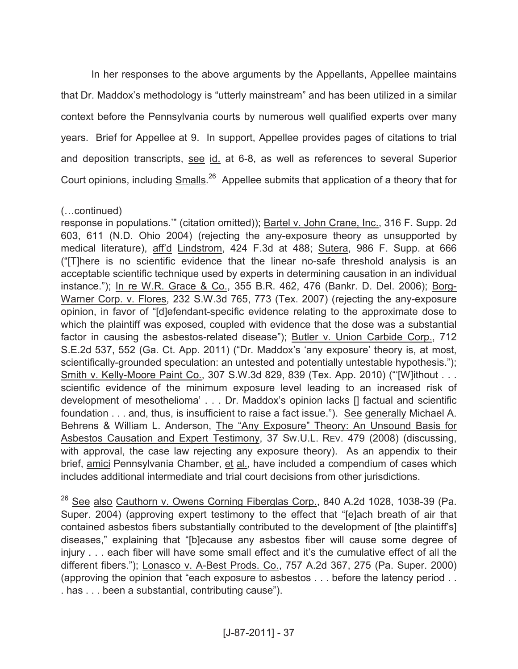In her responses to the above arguments by the Appellants, Appellee maintains that Dr. Maddox's methodology is "utterly mainstream" and has been utilized in a similar context before the Pennsylvania courts by numerous well qualified experts over many years. Brief for Appellee at 9. In support, Appellee provides pages of citations to trial and deposition transcripts, see id. at 6-8, as well as references to several Superior Court opinions, including **Smalls.<sup>26</sup> Appellee submits that application of a theory that for** 

 $\overline{a}$ 

<sup>26</sup> See also Cauthorn v. Owens Corning Fiberglas Corp., 840 A.2d 1028, 1038-39 (Pa. Super. 2004) (approving expert testimony to the effect that "[e]ach breath of air that contained asbestos fibers substantially contributed to the development of [the plaintiff's] diseases," explaining that "[b]ecause any asbestos fiber will cause some degree of injury . . . each fiber will have some small effect and it's the cumulative effect of all the different fibers."); Lonasco v. A-Best Prods. Co., 757 A.2d 367, 275 (Pa. Super. 2000) (approving the opinion that "each exposure to asbestos . . . before the latency period . . . has . . . been a substantial, contributing cause").

<sup>(…</sup>continued)

response in populations.'" (citation omitted)); Bartel v. John Crane, Inc., 316 F. Supp. 2d 603, 611 (N.D. Ohio 2004) (rejecting the any-exposure theory as unsupported by medical literature), aff'd Lindstrom, 424 F.3d at 488; Sutera, 986 F. Supp. at 666 ("[T]here is no scientific evidence that the linear no-safe threshold analysis is an acceptable scientific technique used by experts in determining causation in an individual instance."); In re W.R. Grace & Co., 355 B.R. 462, 476 (Bankr. D. Del. 2006); Borg-Warner Corp. v. Flores, 232 S.W.3d 765, 773 (Tex. 2007) (rejecting the any-exposure opinion, in favor of "[d]efendant-specific evidence relating to the approximate dose to which the plaintiff was exposed, coupled with evidence that the dose was a substantial factor in causing the asbestos-related disease"); Butler v. Union Carbide Corp., 712 S.E.2d 537, 552 (Ga. Ct. App. 2011) ("Dr. Maddox's 'any exposure' theory is, at most, scientifically-grounded speculation: an untested and potentially untestable hypothesis."); Smith v. Kelly-Moore Paint Co., 307 S.W.3d 829, 839 (Tex. App. 2010) ("[W]ithout . . . scientific evidence of the minimum exposure level leading to an increased risk of development of mesothelioma' . . . Dr. Maddox's opinion lacks [] factual and scientific foundation . . . and, thus, is insufficient to raise a fact issue."). See generally Michael A. Behrens & William L. Anderson, The "Any Exposure" Theory: An Unsound Basis for Asbestos Causation and Expert Testimony, 37 SW.U.L. REV. 479 (2008) (discussing, with approval, the case law rejecting any exposure theory). As an appendix to their brief, amici Pennsylvania Chamber, et al., have included a compendium of cases which includes additional intermediate and trial court decisions from other jurisdictions.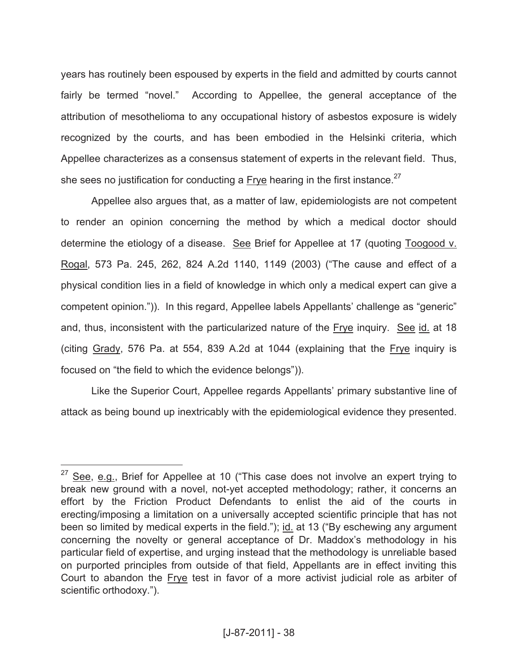years has routinely been espoused by experts in the field and admitted by courts cannot fairly be termed "novel." According to Appellee, the general acceptance of the attribution of mesothelioma to any occupational history of asbestos exposure is widely recognized by the courts, and has been embodied in the Helsinki criteria, which Appellee characterizes as a consensus statement of experts in the relevant field. Thus, she sees no justification for conducting a Frye hearing in the first instance.<sup>27</sup>

Appellee also argues that, as a matter of law, epidemiologists are not competent to render an opinion concerning the method by which a medical doctor should determine the etiology of a disease. See Brief for Appellee at 17 (quoting Toogood v. Rogal, 573 Pa. 245, 262, 824 A.2d 1140, 1149 (2003) ("The cause and effect of a physical condition lies in a field of knowledge in which only a medical expert can give a competent opinion.")). In this regard, Appellee labels Appellants' challenge as "generic" and, thus, inconsistent with the particularized nature of the Frye inquiry. See id. at 18 (citing Grady, 576 Pa. at 554, 839 A.2d at 1044 (explaining that the Frye inquiry is focused on "the field to which the evidence belongs")).

Like the Superior Court, Appellee regards Appellants' primary substantive line of attack as being bound up inextricably with the epidemiological evidence they presented.

 $27$  See, e.g., Brief for Appellee at 10 ("This case does not involve an expert trying to break new ground with a novel, not-yet accepted methodology; rather, it concerns an effort by the Friction Product Defendants to enlist the aid of the courts in erecting/imposing a limitation on a universally accepted scientific principle that has not been so limited by medical experts in the field."); id. at 13 ("By eschewing any argument concerning the novelty or general acceptance of Dr. Maddox's methodology in his particular field of expertise, and urging instead that the methodology is unreliable based on purported principles from outside of that field, Appellants are in effect inviting this Court to abandon the Frye test in favor of a more activist judicial role as arbiter of scientific orthodoxy.").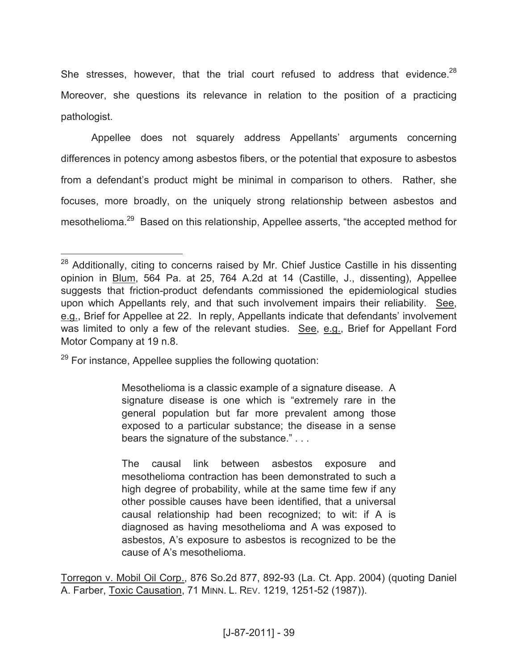She stresses, however, that the trial court refused to address that evidence. $^{28}$ Moreover, she questions its relevance in relation to the position of a practicing pathologist.

Appellee does not squarely address Appellants' arguments concerning differences in potency among asbestos fibers, or the potential that exposure to asbestos from a defendant's product might be minimal in comparison to others. Rather, she focuses, more broadly, on the uniquely strong relationship between asbestos and mesothelioma.<sup>29</sup> Based on this relationship, Appellee asserts, "the accepted method for

 $29$  For instance, Appellee supplies the following quotation:

 $\overline{a}$ 

Mesothelioma is a classic example of a signature disease. A signature disease is one which is "extremely rare in the general population but far more prevalent among those exposed to a particular substance; the disease in a sense bears the signature of the substance." . . .

The causal link between asbestos exposure and mesothelioma contraction has been demonstrated to such a high degree of probability, while at the same time few if any other possible causes have been identified, that a universal causal relationship had been recognized; to wit: if A is diagnosed as having mesothelioma and A was exposed to asbestos, A's exposure to asbestos is recognized to be the cause of A's mesothelioma.

Torregon v. Mobil Oil Corp., 876 So.2d 877, 892-93 (La. Ct. App. 2004) (quoting Daniel A. Farber, Toxic Causation, 71 MINN. L. REV. 1219, 1251-52 (1987)).

 $28$  Additionally, citing to concerns raised by Mr. Chief Justice Castille in his dissenting opinion in Blum, 564 Pa. at 25, 764 A.2d at 14 (Castille, J., dissenting), Appellee suggests that friction-product defendants commissioned the epidemiological studies upon which Appellants rely, and that such involvement impairs their reliability. See, e.g., Brief for Appellee at 22. In reply, Appellants indicate that defendants' involvement was limited to only a few of the relevant studies. See, e.g., Brief for Appellant Ford Motor Company at 19 n.8.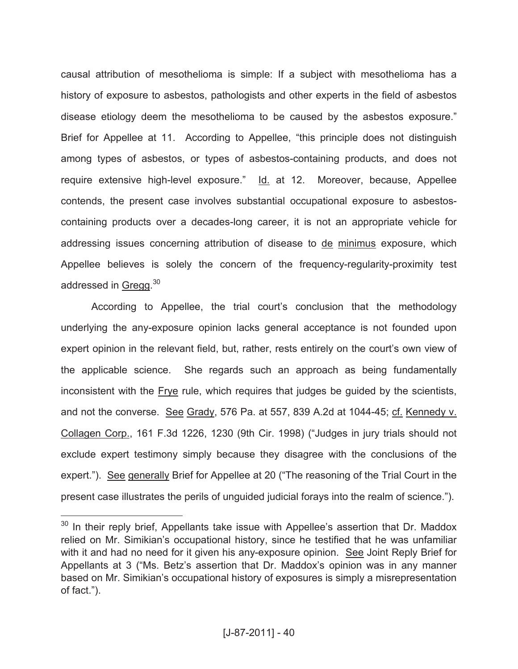causal attribution of mesothelioma is simple: If a subject with mesothelioma has a history of exposure to asbestos, pathologists and other experts in the field of asbestos disease etiology deem the mesothelioma to be caused by the asbestos exposure." Brief for Appellee at 11. According to Appellee, "this principle does not distinguish among types of asbestos, or types of asbestos-containing products, and does not require extensive high-level exposure." Id. at 12. Moreover, because, Appellee contends, the present case involves substantial occupational exposure to asbestoscontaining products over a decades-long career, it is not an appropriate vehicle for addressing issues concerning attribution of disease to de minimus exposure, which Appellee believes is solely the concern of the frequency-regularity-proximity test addressed in Gregg.<sup>30</sup>

According to Appellee, the trial court's conclusion that the methodology underlying the any-exposure opinion lacks general acceptance is not founded upon expert opinion in the relevant field, but, rather, rests entirely on the court's own view of the applicable science. She regards such an approach as being fundamentally inconsistent with the Frye rule, which requires that judges be guided by the scientists, and not the converse. See Grady, 576 Pa. at 557, 839 A.2d at 1044-45; cf. Kennedy v. Collagen Corp., 161 F.3d 1226, 1230 (9th Cir. 1998) ("Judges in jury trials should not exclude expert testimony simply because they disagree with the conclusions of the expert."). See generally Brief for Appellee at 20 ("The reasoning of the Trial Court in the present case illustrates the perils of unguided judicial forays into the realm of science.").

 $30$  In their reply brief, Appellants take issue with Appellee's assertion that Dr. Maddox relied on Mr. Simikian's occupational history, since he testified that he was unfamiliar with it and had no need for it given his any-exposure opinion. See Joint Reply Brief for Appellants at 3 ("Ms. Betz's assertion that Dr. Maddox's opinion was in any manner based on Mr. Simikian's occupational history of exposures is simply a misrepresentation of fact.").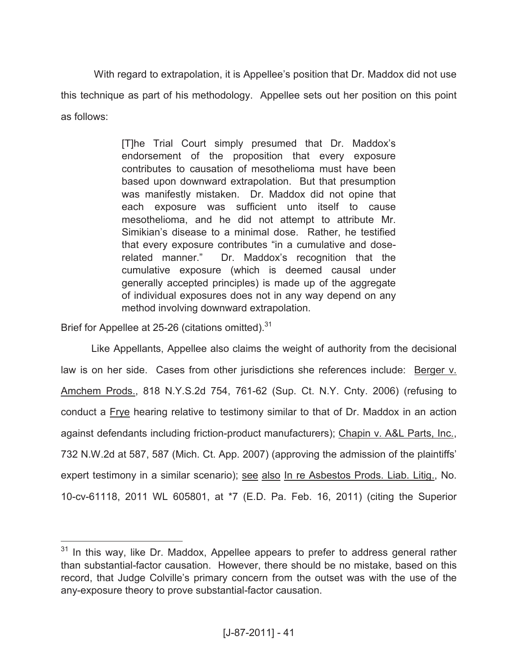With regard to extrapolation, it is Appellee's position that Dr. Maddox did not use this technique as part of his methodology. Appellee sets out her position on this point as follows:

> [T]he Trial Court simply presumed that Dr. Maddox's endorsement of the proposition that every exposure contributes to causation of mesothelioma must have been based upon downward extrapolation. But that presumption was manifestly mistaken. Dr. Maddox did not opine that each exposure was sufficient unto itself to cause mesothelioma, and he did not attempt to attribute Mr. Simikian's disease to a minimal dose. Rather, he testified that every exposure contributes "in a cumulative and doserelated manner." Dr. Maddox's recognition that the cumulative exposure (which is deemed causal under generally accepted principles) is made up of the aggregate of individual exposures does not in any way depend on any method involving downward extrapolation.

Brief for Appellee at 25-26 (citations omitted).<sup>31</sup>

 $\overline{a}$ 

Like Appellants, Appellee also claims the weight of authority from the decisional law is on her side. Cases from other jurisdictions she references include: Berger v. Amchem Prods., 818 N.Y.S.2d 754, 761-62 (Sup. Ct. N.Y. Cnty. 2006) (refusing to conduct a Frye hearing relative to testimony similar to that of Dr. Maddox in an action against defendants including friction-product manufacturers); Chapin v. A&L Parts, Inc., 732 N.W.2d at 587, 587 (Mich. Ct. App. 2007) (approving the admission of the plaintiffs' expert testimony in a similar scenario); see also In re Asbestos Prods. Liab. Litig., No. 10-cv-61118, 2011 WL 605801, at \*7 (E.D. Pa. Feb. 16, 2011) (citing the Superior

 $31$  In this way, like Dr. Maddox, Appellee appears to prefer to address general rather than substantial-factor causation. However, there should be no mistake, based on this record, that Judge Colville's primary concern from the outset was with the use of the any-exposure theory to prove substantial-factor causation.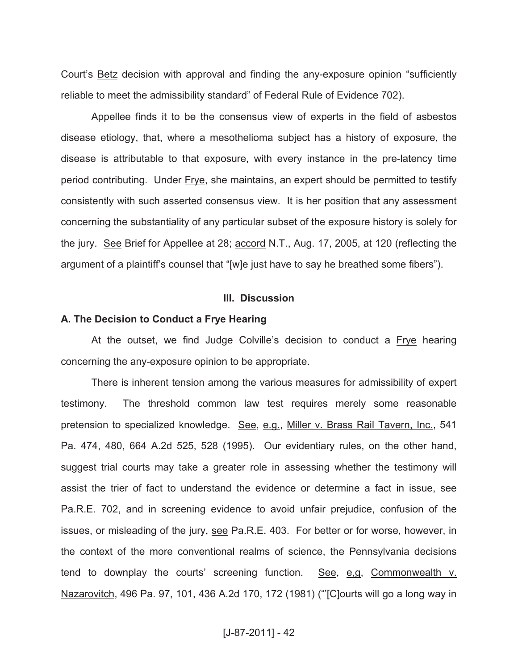Court's Betz decision with approval and finding the any-exposure opinion "sufficiently reliable to meet the admissibility standard" of Federal Rule of Evidence 702).

Appellee finds it to be the consensus view of experts in the field of asbestos disease etiology, that, where a mesothelioma subject has a history of exposure, the disease is attributable to that exposure, with every instance in the pre-latency time period contributing. Under Frye, she maintains, an expert should be permitted to testify consistently with such asserted consensus view. It is her position that any assessment concerning the substantiality of any particular subset of the exposure history is solely for the jury. See Brief for Appellee at 28; accord N.T., Aug. 17, 2005, at 120 (reflecting the argument of a plaintiff's counsel that "[w]e just have to say he breathed some fibers").

#### **III. Discussion**

#### **A. The Decision to Conduct a Frye Hearing**

At the outset, we find Judge Colville's decision to conduct a Frye hearing concerning the any-exposure opinion to be appropriate.

There is inherent tension among the various measures for admissibility of expert testimony. The threshold common law test requires merely some reasonable pretension to specialized knowledge. See, e.g., Miller v. Brass Rail Tavern, Inc., 541 Pa. 474, 480, 664 A.2d 525, 528 (1995). Our evidentiary rules, on the other hand, suggest trial courts may take a greater role in assessing whether the testimony will assist the trier of fact to understand the evidence or determine a fact in issue, see Pa.R.E. 702, and in screening evidence to avoid unfair prejudice, confusion of the issues, or misleading of the jury, see Pa.R.E. 403. For better or for worse, however, in the context of the more conventional realms of science, the Pennsylvania decisions tend to downplay the courts' screening function. See, e,g, Commonwealth v. Nazarovitch, 496 Pa. 97, 101, 436 A.2d 170, 172 (1981) ("'[C]ourts will go a long way in

## [J-87-2011] - 42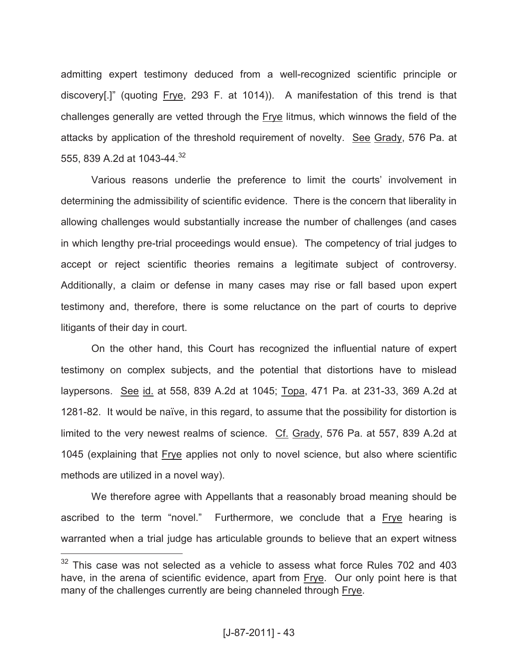admitting expert testimony deduced from a well-recognized scientific principle or discovery[.]" (quoting Frye, 293 F. at 1014)). A manifestation of this trend is that challenges generally are vetted through the Frye litmus, which winnows the field of the attacks by application of the threshold requirement of novelty. See Grady, 576 Pa. at 555, 839 A.2d at 1043-44. 32

Various reasons underlie the preference to limit the courts' involvement in determining the admissibility of scientific evidence. There is the concern that liberality in allowing challenges would substantially increase the number of challenges (and cases in which lengthy pre-trial proceedings would ensue). The competency of trial judges to accept or reject scientific theories remains a legitimate subject of controversy. Additionally, a claim or defense in many cases may rise or fall based upon expert testimony and, therefore, there is some reluctance on the part of courts to deprive litigants of their day in court.

On the other hand, this Court has recognized the influential nature of expert testimony on complex subjects, and the potential that distortions have to mislead laypersons. See id. at 558, 839 A.2d at 1045; Topa, 471 Pa. at 231-33, 369 A.2d at 1281-82. It would be naïve, in this regard, to assume that the possibility for distortion is limited to the very newest realms of science. Cf. Grady, 576 Pa. at 557, 839 A.2d at 1045 (explaining that Frye applies not only to novel science, but also where scientific methods are utilized in a novel way).

We therefore agree with Appellants that a reasonably broad meaning should be ascribed to the term "novel." Furthermore, we conclude that a Frye hearing is warranted when a trial judge has articulable grounds to believe that an expert witness

 $32$  This case was not selected as a vehicle to assess what force Rules 702 and 403 have, in the arena of scientific evidence, apart from Frye. Our only point here is that many of the challenges currently are being channeled through Frye.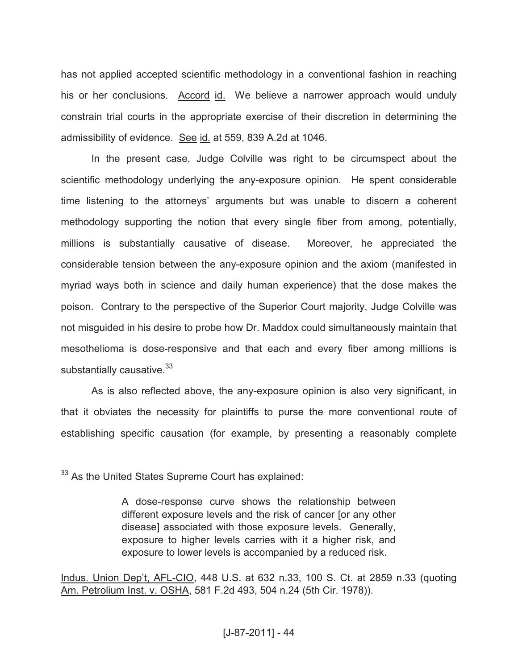has not applied accepted scientific methodology in a conventional fashion in reaching his or her conclusions. Accord id. We believe a narrower approach would unduly constrain trial courts in the appropriate exercise of their discretion in determining the admissibility of evidence. See id. at 559, 839 A.2d at 1046.

In the present case, Judge Colville was right to be circumspect about the scientific methodology underlying the any-exposure opinion. He spent considerable time listening to the attorneys' arguments but was unable to discern a coherent methodology supporting the notion that every single fiber from among, potentially, millions is substantially causative of disease. Moreover, he appreciated the considerable tension between the any-exposure opinion and the axiom (manifested in myriad ways both in science and daily human experience) that the dose makes the poison. Contrary to the perspective of the Superior Court majority, Judge Colville was not misguided in his desire to probe how Dr. Maddox could simultaneously maintain that mesothelioma is dose-responsive and that each and every fiber among millions is substantially causative. $33$ 

As is also reflected above, the any-exposure opinion is also very significant, in that it obviates the necessity for plaintiffs to purse the more conventional route of establishing specific causation (for example, by presenting a reasonably complete

 $\overline{a}$ 

Indus. Union Dep't, AFL-CIO, 448 U.S. at 632 n.33, 100 S. Ct. at 2859 n.33 (quoting Am. Petrolium Inst. v. OSHA, 581 F.2d 493, 504 n.24 (5th Cir. 1978)).

 $33$  As the United States Supreme Court has explained:

A dose-response curve shows the relationship between different exposure levels and the risk of cancer [or any other disease] associated with those exposure levels. Generally, exposure to higher levels carries with it a higher risk, and exposure to lower levels is accompanied by a reduced risk.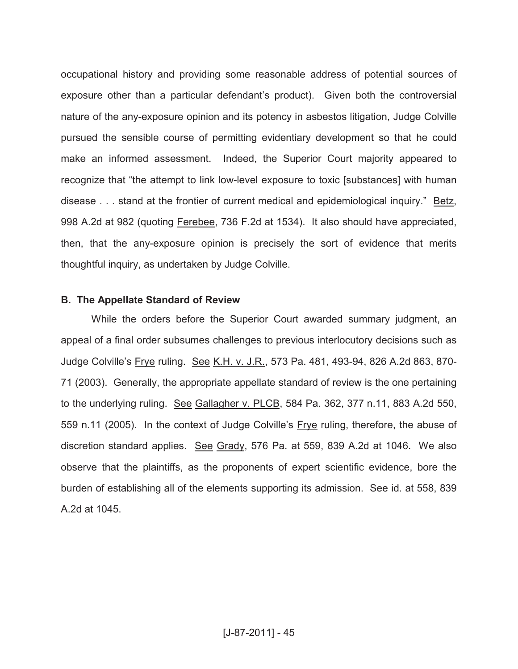occupational history and providing some reasonable address of potential sources of exposure other than a particular defendant's product). Given both the controversial nature of the any-exposure opinion and its potency in asbestos litigation, Judge Colville pursued the sensible course of permitting evidentiary development so that he could make an informed assessment. Indeed, the Superior Court majority appeared to recognize that "the attempt to link low-level exposure to toxic [substances] with human disease . . . stand at the frontier of current medical and epidemiological inquiry." Betz, 998 A.2d at 982 (quoting Ferebee, 736 F.2d at 1534). It also should have appreciated, then, that the any-exposure opinion is precisely the sort of evidence that merits thoughtful inquiry, as undertaken by Judge Colville.

## **B. The Appellate Standard of Review**

While the orders before the Superior Court awarded summary judgment, an appeal of a final order subsumes challenges to previous interlocutory decisions such as Judge Colville's Frye ruling. See K.H. v. J.R., 573 Pa. 481, 493-94, 826 A.2d 863, 870- 71 (2003). Generally, the appropriate appellate standard of review is the one pertaining to the underlying ruling. See Gallagher v. PLCB, 584 Pa. 362, 377 n.11, 883 A.2d 550, 559 n.11 (2005). In the context of Judge Colville's Frye ruling, therefore, the abuse of discretion standard applies. See Grady, 576 Pa. at 559, 839 A.2d at 1046. We also observe that the plaintiffs, as the proponents of expert scientific evidence, bore the burden of establishing all of the elements supporting its admission. See id. at 558, 839 A.2d at 1045.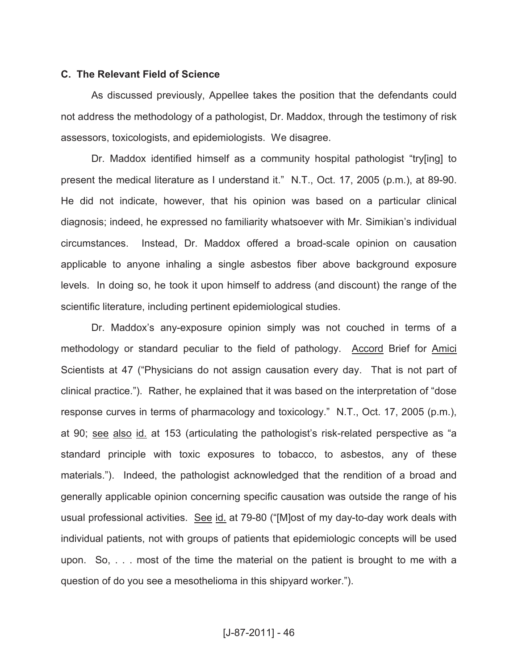## **C. The Relevant Field of Science**

As discussed previously, Appellee takes the position that the defendants could not address the methodology of a pathologist, Dr. Maddox, through the testimony of risk assessors, toxicologists, and epidemiologists. We disagree.

Dr. Maddox identified himself as a community hospital pathologist "try[ing] to present the medical literature as I understand it." N.T., Oct. 17, 2005 (p.m.), at 89-90. He did not indicate, however, that his opinion was based on a particular clinical diagnosis; indeed, he expressed no familiarity whatsoever with Mr. Simikian's individual circumstances. Instead, Dr. Maddox offered a broad-scale opinion on causation applicable to anyone inhaling a single asbestos fiber above background exposure levels. In doing so, he took it upon himself to address (and discount) the range of the scientific literature, including pertinent epidemiological studies.

Dr. Maddox's any-exposure opinion simply was not couched in terms of a methodology or standard peculiar to the field of pathology. Accord Brief for Amici Scientists at 47 ("Physicians do not assign causation every day. That is not part of clinical practice."). Rather, he explained that it was based on the interpretation of "dose response curves in terms of pharmacology and toxicology." N.T., Oct. 17, 2005 (p.m.), at 90; see also id. at 153 (articulating the pathologist's risk-related perspective as "a standard principle with toxic exposures to tobacco, to asbestos, any of these materials."). Indeed, the pathologist acknowledged that the rendition of a broad and generally applicable opinion concerning specific causation was outside the range of his usual professional activities. See id. at 79-80 ("[M]ost of my day-to-day work deals with individual patients, not with groups of patients that epidemiologic concepts will be used upon. So, . . . most of the time the material on the patient is brought to me with a question of do you see a mesothelioma in this shipyard worker.").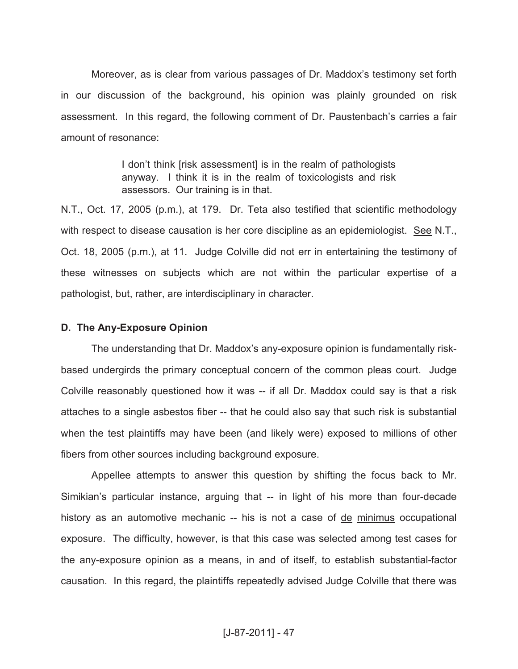Moreover, as is clear from various passages of Dr. Maddox's testimony set forth in our discussion of the background, his opinion was plainly grounded on risk assessment. In this regard, the following comment of Dr. Paustenbach's carries a fair amount of resonance:

> I don't think [risk assessment] is in the realm of pathologists anyway. I think it is in the realm of toxicologists and risk assessors. Our training is in that.

N.T., Oct. 17, 2005 (p.m.), at 179. Dr. Teta also testified that scientific methodology with respect to disease causation is her core discipline as an epidemiologist. See N.T., Oct. 18, 2005 (p.m.), at 11. Judge Colville did not err in entertaining the testimony of these witnesses on subjects which are not within the particular expertise of a pathologist, but, rather, are interdisciplinary in character.

#### **D. The Any-Exposure Opinion**

The understanding that Dr. Maddox's any-exposure opinion is fundamentally riskbased undergirds the primary conceptual concern of the common pleas court. Judge Colville reasonably questioned how it was -- if all Dr. Maddox could say is that a risk attaches to a single asbestos fiber -- that he could also say that such risk is substantial when the test plaintiffs may have been (and likely were) exposed to millions of other fibers from other sources including background exposure.

Appellee attempts to answer this question by shifting the focus back to Mr. Simikian's particular instance, arguing that -- in light of his more than four-decade history as an automotive mechanic -- his is not a case of de minimus occupational exposure. The difficulty, however, is that this case was selected among test cases for the any-exposure opinion as a means, in and of itself, to establish substantial-factor causation. In this regard, the plaintiffs repeatedly advised Judge Colville that there was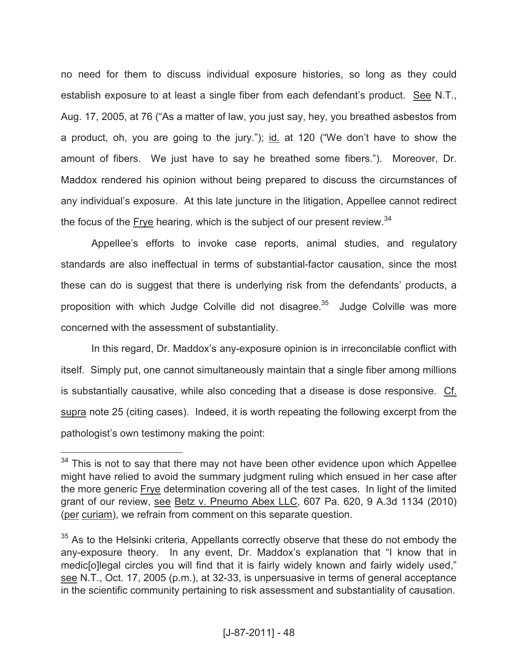no need for them to discuss individual exposure histories, so long as they could establish exposure to at least a single fiber from each defendant's product. See N.T., Aug. 17, 2005, at 76 ("As a matter of law, you just say, hey, you breathed asbestos from a product, oh, you are going to the jury."); id. at 120 ("We don't have to show the amount of fibers. We just have to say he breathed some fibers."). Moreover, Dr. Maddox rendered his opinion without being prepared to discuss the circumstances of any individual's exposure. At this late juncture in the litigation, Appellee cannot redirect the focus of the Frye hearing, which is the subject of our present review.  $34$ 

Appellee's efforts to invoke case reports, animal studies, and regulatory standards are also ineffectual in terms of substantial-factor causation, since the most these can do is suggest that there is underlying risk from the defendants' products, a proposition with which Judge Colville did not disagree.<sup>35</sup> Judge Colville was more concerned with the assessment of substantiality.

In this regard, Dr. Maddox's any-exposure opinion is in irreconcilable conflict with itself. Simply put, one cannot simultaneously maintain that a single fiber among millions is substantially causative, while also conceding that a disease is dose responsive. Cf. supra note 25 (citing cases). Indeed, it is worth repeating the following excerpt from the pathologist's own testimony making the point:

 $34$  This is not to say that there may not have been other evidence upon which Appellee might have relied to avoid the summary judgment ruling which ensued in her case after the more generic Frye determination covering all of the test cases. In light of the limited grant of our review, see Betz v. Pneumo Abex LLC, 607 Pa. 620, 9 A.3d 1134 (2010) (per curiam), we refrain from comment on this separate question.

 $35$  As to the Helsinki criteria, Appellants correctly observe that these do not embody the any-exposure theory. In any event, Dr. Maddox's explanation that "I know that in medic[o]legal circles you will find that it is fairly widely known and fairly widely used," see N.T., Oct. 17, 2005 (p.m.), at 32-33, is unpersuasive in terms of general acceptance in the scientific community pertaining to risk assessment and substantiality of causation.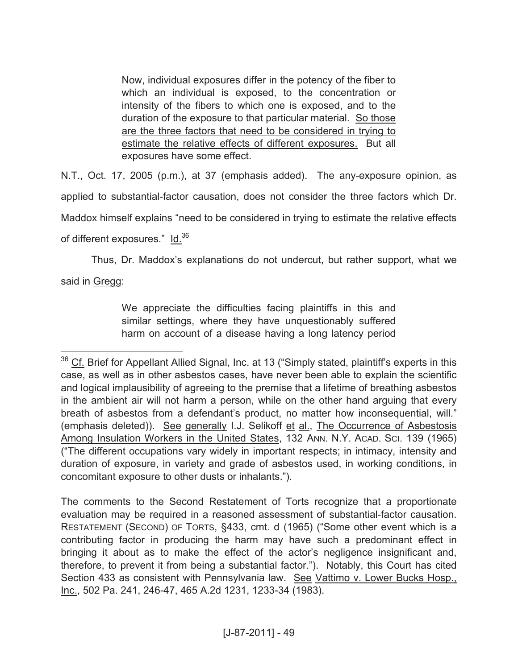Now, individual exposures differ in the potency of the fiber to which an individual is exposed, to the concentration or intensity of the fibers to which one is exposed, and to the duration of the exposure to that particular material. So those are the three factors that need to be considered in trying to estimate the relative effects of different exposures. But all exposures have some effect.

N.T., Oct. 17, 2005 (p.m.), at 37 (emphasis added). The any-exposure opinion, as applied to substantial-factor causation, does not consider the three factors which Dr. Maddox himself explains "need to be considered in trying to estimate the relative effects of different exposures." Id.<sup>36</sup>

Thus, Dr. Maddox's explanations do not undercut, but rather support, what we said in Gregg:

> We appreciate the difficulties facing plaintiffs in this and similar settings, where they have unquestionably suffered harm on account of a disease having a long latency period

 $\overline{a}$ 

The comments to the Second Restatement of Torts recognize that a proportionate evaluation may be required in a reasoned assessment of substantial-factor causation. RESTATEMENT (SECOND) OF TORTS, §433, cmt. d (1965) ("Some other event which is a contributing factor in producing the harm may have such a predominant effect in bringing it about as to make the effect of the actor's negligence insignificant and, therefore, to prevent it from being a substantial factor."). Notably, this Court has cited Section 433 as consistent with Pennsylvania law. See Vattimo v. Lower Bucks Hosp., Inc., 502 Pa. 241, 246-47, 465 A.2d 1231, 1233-34 (1983).

 $36$  Cf. Brief for Appellant Allied Signal, Inc. at 13 ("Simply stated, plaintiff's experts in this case, as well as in other asbestos cases, have never been able to explain the scientific and logical implausibility of agreeing to the premise that a lifetime of breathing asbestos in the ambient air will not harm a person, while on the other hand arguing that every breath of asbestos from a defendant's product, no matter how inconsequential, will." (emphasis deleted)). See generally I.J. Selikoff et al., The Occurrence of Asbestosis Among Insulation Workers in the United States, 132 ANN. N.Y. ACAD. SCI. 139 (1965) ("The different occupations vary widely in important respects; in intimacy, intensity and duration of exposure, in variety and grade of asbestos used, in working conditions, in concomitant exposure to other dusts or inhalants.").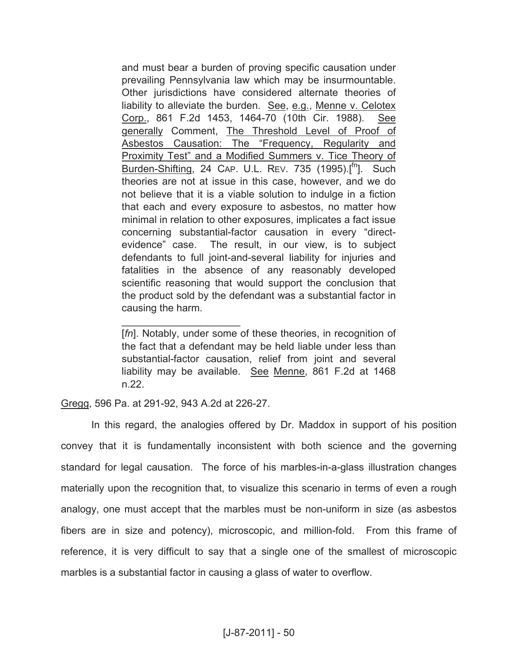and must bear a burden of proving specific causation under prevailing Pennsylvania law which may be insurmountable. Other jurisdictions have considered alternate theories of liability to alleviate the burden. See, e.g., Menne v. Celotex Corp., 861 F.2d 1453, 1464-70 (10th Cir. 1988). See generally Comment, The Threshold Level of Proof of Asbestos Causation: The "Frequency, Regularity and Proximity Test" and a Modified Summers v. Tice Theory of Burden-Shifting, 24 CAP. U.L. REV. 735 (1995).[<sup>fn</sup>]. Such theories are not at issue in this case, however, and we do not believe that it is a viable solution to indulge in a fiction that each and every exposure to asbestos, no matter how minimal in relation to other exposures, implicates a fact issue concerning substantial-factor causation in every "directevidence" case. The result, in our view, is to subject defendants to full joint-and-several liability for injuries and fatalities in the absence of any reasonably developed scientific reasoning that would support the conclusion that the product sold by the defendant was a substantial factor in causing the harm.

[fn]. Notably, under some of these theories, in recognition of the fact that a defendant may be held liable under less than substantial-factor causation, relief from joint and several liability may be available. See Menne, 861 F.2d at 1468 n.22.

Gregg, 596 Pa. at 291-92, 943 A.2d at 226-27.

 $\mathcal{L}=\{1,2,3,4,5\}$ 

In this regard, the analogies offered by Dr. Maddox in support of his position convey that it is fundamentally inconsistent with both science and the governing standard for legal causation. The force of his marbles-in-a-glass illustration changes materially upon the recognition that, to visualize this scenario in terms of even a rough analogy, one must accept that the marbles must be non-uniform in size (as asbestos fibers are in size and potency), microscopic, and million-fold. From this frame of reference, it is very difficult to say that a single one of the smallest of microscopic marbles is a substantial factor in causing a glass of water to overflow.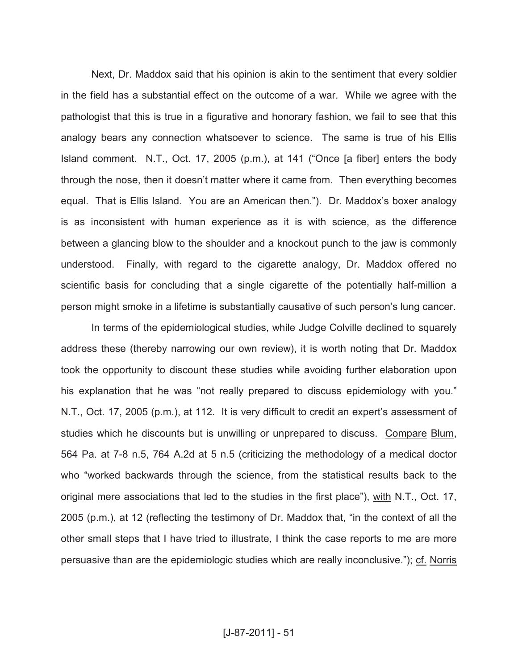Next, Dr. Maddox said that his opinion is akin to the sentiment that every soldier in the field has a substantial effect on the outcome of a war. While we agree with the pathologist that this is true in a figurative and honorary fashion, we fail to see that this analogy bears any connection whatsoever to science. The same is true of his Ellis Island comment. N.T., Oct. 17, 2005 (p.m.), at 141 ("Once [a fiber] enters the body through the nose, then it doesn't matter where it came from. Then everything becomes equal. That is Ellis Island. You are an American then."). Dr. Maddox's boxer analogy is as inconsistent with human experience as it is with science, as the difference between a glancing blow to the shoulder and a knockout punch to the jaw is commonly understood. Finally, with regard to the cigarette analogy, Dr. Maddox offered no scientific basis for concluding that a single cigarette of the potentially half-million a person might smoke in a lifetime is substantially causative of such person's lung cancer.

In terms of the epidemiological studies, while Judge Colville declined to squarely address these (thereby narrowing our own review), it is worth noting that Dr. Maddox took the opportunity to discount these studies while avoiding further elaboration upon his explanation that he was "not really prepared to discuss epidemiology with you." N.T., Oct. 17, 2005 (p.m.), at 112. It is very difficult to credit an expert's assessment of studies which he discounts but is unwilling or unprepared to discuss. Compare Blum, 564 Pa. at 7-8 n.5, 764 A.2d at 5 n.5 (criticizing the methodology of a medical doctor who "worked backwards through the science, from the statistical results back to the original mere associations that led to the studies in the first place"), with N.T., Oct. 17, 2005 (p.m.), at 12 (reflecting the testimony of Dr. Maddox that, "in the context of all the other small steps that I have tried to illustrate, I think the case reports to me are more persuasive than are the epidemiologic studies which are really inconclusive."); cf. Norris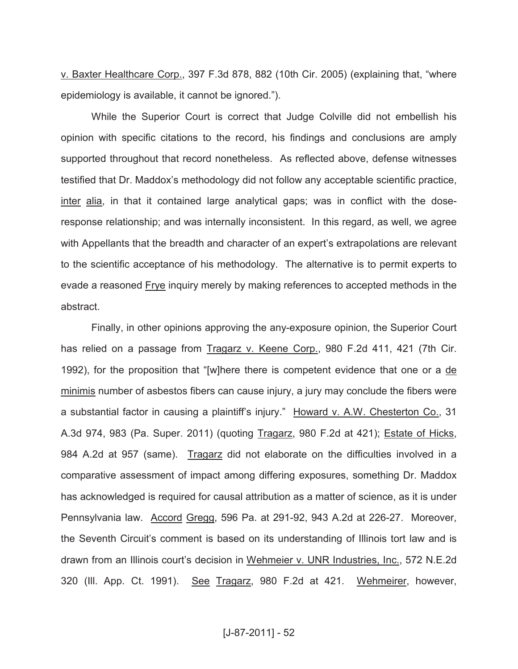v. Baxter Healthcare Corp., 397 F.3d 878, 882 (10th Cir. 2005) (explaining that, "where epidemiology is available, it cannot be ignored.").

While the Superior Court is correct that Judge Colville did not embellish his opinion with specific citations to the record, his findings and conclusions are amply supported throughout that record nonetheless. As reflected above, defense witnesses testified that Dr. Maddox's methodology did not follow any acceptable scientific practice, inter alia, in that it contained large analytical gaps; was in conflict with the doseresponse relationship; and was internally inconsistent. In this regard, as well, we agree with Appellants that the breadth and character of an expert's extrapolations are relevant to the scientific acceptance of his methodology. The alternative is to permit experts to evade a reasoned Frye inquiry merely by making references to accepted methods in the abstract.

Finally, in other opinions approving the any-exposure opinion, the Superior Court has relied on a passage from Tragarz v. Keene Corp., 980 F.2d 411, 421 (7th Cir. 1992), for the proposition that "[w]here there is competent evidence that one or a de minimis number of asbestos fibers can cause injury, a jury may conclude the fibers were a substantial factor in causing a plaintiff's injury." Howard v. A.W. Chesterton Co., 31 A.3d 974, 983 (Pa. Super. 2011) (quoting Tragarz, 980 F.2d at 421); Estate of Hicks, 984 A.2d at 957 (same). Tragarz did not elaborate on the difficulties involved in a comparative assessment of impact among differing exposures, something Dr. Maddox has acknowledged is required for causal attribution as a matter of science, as it is under Pennsylvania law. Accord Gregg, 596 Pa. at 291-92, 943 A.2d at 226-27. Moreover, the Seventh Circuit's comment is based on its understanding of Illinois tort law and is drawn from an Illinois court's decision in Wehmeier v. UNR Industries, Inc., 572 N.E.2d 320 (III. App. Ct. 1991). See Tragarz, 980 F.2d at 421. Wehmeirer, however,